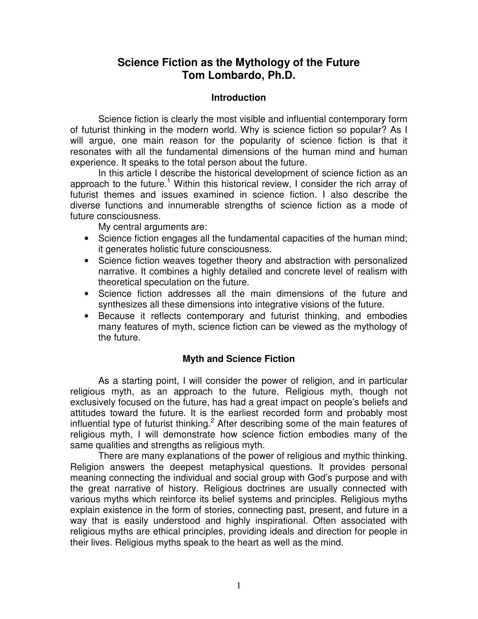# **Science Fiction as the Mythology of the Future Tom Lombardo, Ph.D.**

### **Introduction**

Science fiction is clearly the most visible and influential contemporary form of futurist thinking in the modern world. Why is science fiction so popular? As I will argue, one main reason for the popularity of science fiction is that it resonates with all the fundamental dimensions of the human mind and human experience. It speaks to the total person about the future.

In this article I describe the historical development of science fiction as an approach to the future.<sup>1</sup> Within this historical review, I consider the rich array of futurist themes and issues examined in science fiction. I also describe the diverse functions and innumerable strengths of science fiction as a mode of future consciousness.

My central arguments are:

- Science fiction engages all the fundamental capacities of the human mind; it generates holistic future consciousness.
- Science fiction weaves together theory and abstraction with personalized narrative. It combines a highly detailed and concrete level of realism with theoretical speculation on the future.
- Science fiction addresses all the main dimensions of the future and synthesizes all these dimensions into integrative visions of the future.
- Because it reflects contemporary and futurist thinking, and embodies many features of myth, science fiction can be viewed as the mythology of the future.

### **Myth and Science Fiction**

As a starting point, I will consider the power of religion, and in particular religious myth, as an approach to the future. Religious myth, though not exclusively focused on the future, has had a great impact on people's beliefs and attitudes toward the future. It is the earliest recorded form and probably most influential type of futurist thinking.<sup>2</sup> After describing some of the main features of religious myth, I will demonstrate how science fiction embodies many of the same qualities and strengths as religious myth.

There are many explanations of the power of religious and mythic thinking. Religion answers the deepest metaphysical questions. It provides personal meaning connecting the individual and social group with God's purpose and with the great narrative of history. Religious doctrines are usually connected with various myths which reinforce its belief systems and principles. Religious myths explain existence in the form of stories, connecting past, present, and future in a way that is easily understood and highly inspirational. Often associated with religious myths are ethical principles, providing ideals and direction for people in their lives. Religious myths speak to the heart as well as the mind.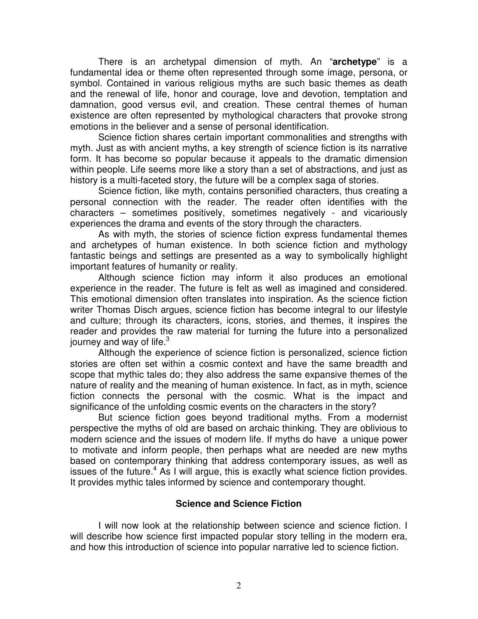There is an archetypal dimension of myth. An "**archetype**" is a fundamental idea or theme often represented through some image, persona, or symbol. Contained in various religious myths are such basic themes as death and the renewal of life, honor and courage, love and devotion, temptation and damnation, good versus evil, and creation. These central themes of human existence are often represented by mythological characters that provoke strong emotions in the believer and a sense of personal identification.

Science fiction shares certain important commonalities and strengths with myth. Just as with ancient myths, a key strength of science fiction is its narrative form. It has become so popular because it appeals to the dramatic dimension within people. Life seems more like a story than a set of abstractions, and just as history is a multi-faceted story, the future will be a complex saga of stories.

Science fiction, like myth, contains personified characters, thus creating a personal connection with the reader. The reader often identifies with the characters – sometimes positively, sometimes negatively - and vicariously experiences the drama and events of the story through the characters.

As with myth, the stories of science fiction express fundamental themes and archetypes of human existence. In both science fiction and mythology fantastic beings and settings are presented as a way to symbolically highlight important features of humanity or reality.

Although science fiction may inform it also produces an emotional experience in the reader. The future is felt as well as imagined and considered. This emotional dimension often translates into inspiration. As the science fiction writer Thomas Disch argues, science fiction has become integral to our lifestyle and culture; through its characters, icons, stories, and themes, it inspires the reader and provides the raw material for turning the future into a personalized journey and way of life.<sup>3</sup>

Although the experience of science fiction is personalized, science fiction stories are often set within a cosmic context and have the same breadth and scope that mythic tales do; they also address the same expansive themes of the nature of reality and the meaning of human existence. In fact, as in myth, science fiction connects the personal with the cosmic. What is the impact and significance of the unfolding cosmic events on the characters in the story?

But science fiction goes beyond traditional myths. From a modernist perspective the myths of old are based on archaic thinking. They are oblivious to modern science and the issues of modern life. If myths do have a unique power to motivate and inform people, then perhaps what are needed are new myths based on contemporary thinking that address contemporary issues, as well as issues of the future.<sup>4</sup> As I will argue, this is exactly what science fiction provides. It provides mythic tales informed by science and contemporary thought.

### **Science and Science Fiction**

I will now look at the relationship between science and science fiction. I will describe how science first impacted popular story telling in the modern era, and how this introduction of science into popular narrative led to science fiction.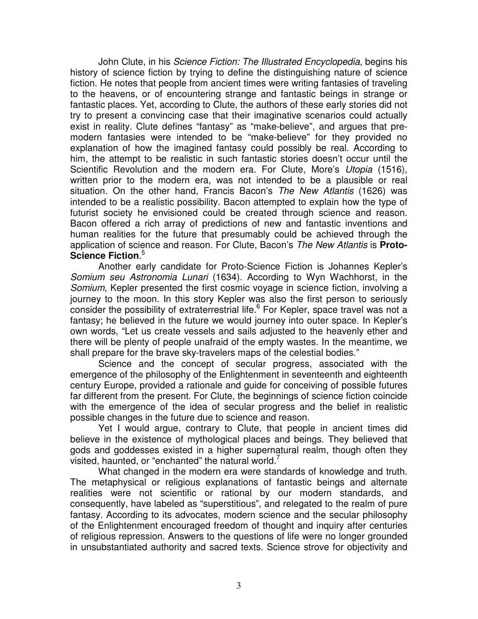John Clute, in his *Science Fiction: The Illustrated Encyclopedia*, begins his history of science fiction by trying to define the distinguishing nature of science fiction. He notes that people from ancient times were writing fantasies of traveling to the heavens, or of encountering strange and fantastic beings in strange or fantastic places. Yet, according to Clute, the authors of these early stories did not try to present a convincing case that their imaginative scenarios could actually exist in reality. Clute defines "fantasy" as "make-believe", and argues that premodern fantasies were intended to be "make-believe" for they provided no explanation of how the imagined fantasy could possibly be real. According to him, the attempt to be realistic in such fantastic stories doesn't occur until the Scientific Revolution and the modern era. For Clute, More's *Utopia* (1516), written prior to the modern era, was not intended to be a plausible or real situation. On the other hand, Francis Bacon's *The New Atlantis* (1626) was intended to be a realistic possibility. Bacon attempted to explain how the type of futurist society he envisioned could be created through science and reason. Bacon offered a rich array of predictions of new and fantastic inventions and human realities for the future that presumably could be achieved through the application of science and reason. For Clute, Bacon's *The New Atlantis* is **Proto-Science Fiction**. 5

Another early candidate for Proto-Science Fiction is Johannes Kepler's *Somium seu Astronomia Lunari* (1634). According to Wyn Wachhorst, in the *Somium*, Kepler presented the first cosmic voyage in science fiction, involving a journey to the moon. In this story Kepler was also the first person to seriously consider the possibility of extraterrestrial life.<sup>6</sup> For Kepler, space travel was not a fantasy; he believed in the future we would journey into outer space. In Kepler's own words, "Let us create vessels and sails adjusted to the heavenly ether and there will be plenty of people unafraid of the empty wastes. In the meantime, we shall prepare for the brave sky-travelers maps of the celestial bodies."

Science and the concept of secular progress, associated with the emergence of the philosophy of the Enlightenment in seventeenth and eighteenth century Europe, provided a rationale and guide for conceiving of possible futures far different from the present. For Clute, the beginnings of science fiction coincide with the emergence of the idea of secular progress and the belief in realistic possible changes in the future due to science and reason.

Yet I would argue, contrary to Clute, that people in ancient times did believe in the existence of mythological places and beings. They believed that gods and goddesses existed in a higher supernatural realm, though often they visited, haunted, or "enchanted" the natural world. $^7$ 

What changed in the modern era were standards of knowledge and truth. The metaphysical or religious explanations of fantastic beings and alternate realities were not scientific or rational by our modern standards, and consequently, have labeled as "superstitious", and relegated to the realm of pure fantasy. According to its advocates, modern science and the secular philosophy of the Enlightenment encouraged freedom of thought and inquiry after centuries of religious repression. Answers to the questions of life were no longer grounded in unsubstantiated authority and sacred texts. Science strove for objectivity and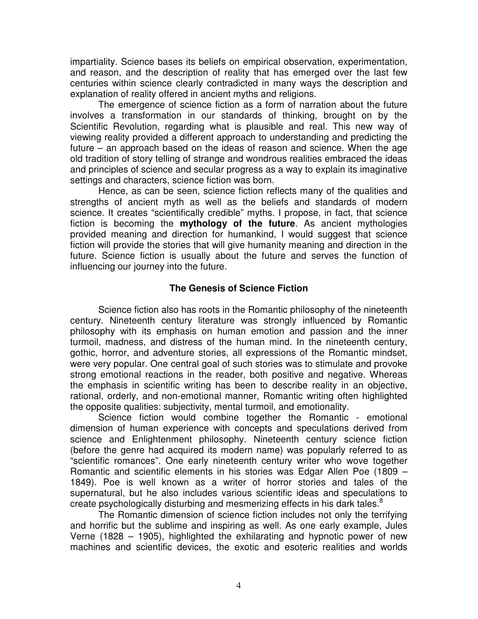impartiality. Science bases its beliefs on empirical observation, experimentation, and reason, and the description of reality that has emerged over the last few centuries within science clearly contradicted in many ways the description and explanation of reality offered in ancient myths and religions.

The emergence of science fiction as a form of narration about the future involves a transformation in our standards of thinking, brought on by the Scientific Revolution, regarding what is plausible and real. This new way of viewing reality provided a different approach to understanding and predicting the future – an approach based on the ideas of reason and science. When the age old tradition of story telling of strange and wondrous realities embraced the ideas and principles of science and secular progress as a way to explain its imaginative settings and characters, science fiction was born.

Hence, as can be seen, science fiction reflects many of the qualities and strengths of ancient myth as well as the beliefs and standards of modern science. It creates "scientifically credible" myths. I propose, in fact, that science fiction is becoming the **mythology of the future**. As ancient mythologies provided meaning and direction for humankind, I would suggest that science fiction will provide the stories that will give humanity meaning and direction in the future. Science fiction is usually about the future and serves the function of influencing our journey into the future.

### **The Genesis of Science Fiction**

Science fiction also has roots in the Romantic philosophy of the nineteenth century. Nineteenth century literature was strongly influenced by Romantic philosophy with its emphasis on human emotion and passion and the inner turmoil, madness, and distress of the human mind. In the nineteenth century, gothic, horror, and adventure stories, all expressions of the Romantic mindset, were very popular. One central goal of such stories was to stimulate and provoke strong emotional reactions in the reader, both positive and negative. Whereas the emphasis in scientific writing has been to describe reality in an objective, rational, orderly, and non-emotional manner, Romantic writing often highlighted the opposite qualities: subjectivity, mental turmoil, and emotionality.

Science fiction would combine together the Romantic - emotional dimension of human experience with concepts and speculations derived from science and Enlightenment philosophy. Nineteenth century science fiction (before the genre had acquired its modern name) was popularly referred to as "scientific romances". One early nineteenth century writer who wove together Romantic and scientific elements in his stories was Edgar Allen Poe (1809 – 1849). Poe is well known as a writer of horror stories and tales of the supernatural, but he also includes various scientific ideas and speculations to create psychologically disturbing and mesmerizing effects in his dark tales. $^8$ 

The Romantic dimension of science fiction includes not only the terrifying and horrific but the sublime and inspiring as well. As one early example, Jules Verne (1828 – 1905), highlighted the exhilarating and hypnotic power of new machines and scientific devices, the exotic and esoteric realities and worlds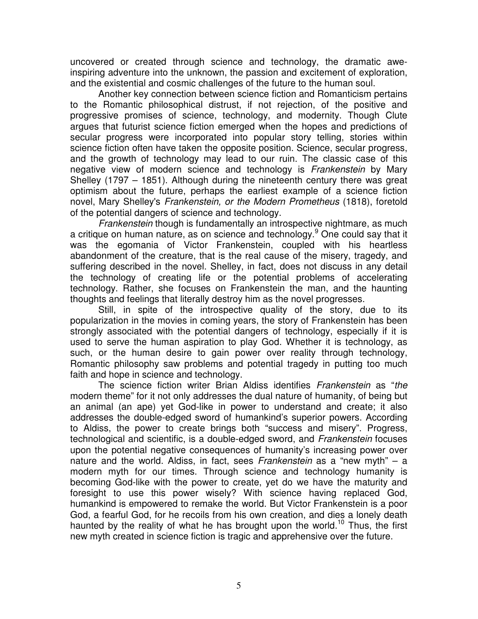uncovered or created through science and technology, the dramatic aweinspiring adventure into the unknown, the passion and excitement of exploration, and the existential and cosmic challenges of the future to the human soul.

Another key connection between science fiction and Romanticism pertains to the Romantic philosophical distrust, if not rejection, of the positive and progressive promises of science, technology, and modernity. Though Clute argues that futurist science fiction emerged when the hopes and predictions of secular progress were incorporated into popular story telling, stories within science fiction often have taken the opposite position. Science, secular progress, and the growth of technology may lead to our ruin. The classic case of this negative view of modern science and technology is *Frankenstein* by Mary Shelley (1797 – 1851). Although during the nineteenth century there was great optimism about the future, perhaps the earliest example of a science fiction novel, Mary Shelley's *Frankenstein, or the Modern Prometheus* (1818), foretold of the potential dangers of science and technology.

*Frankenstein* though is fundamentally an introspective nightmare, as much a critique on human nature, as on science and technology. <sup>9</sup> One could say that it was the egomania of Victor Frankenstein, coupled with his heartless abandonment of the creature, that is the real cause of the misery, tragedy, and suffering described in the novel. Shelley, in fact, does not discuss in any detail the technology of creating life or the potential problems of accelerating technology. Rather, she focuses on Frankenstein the man, and the haunting thoughts and feelings that literally destroy him as the novel progresses.

Still, in spite of the introspective quality of the story, due to its popularization in the movies in coming years, the story of Frankenstein has been strongly associated with the potential dangers of technology, especially if it is used to serve the human aspiration to play God. Whether it is technology, as such, or the human desire to gain power over reality through technology, Romantic philosophy saw problems and potential tragedy in putting too much faith and hope in science and technology.

The science fiction writer Brian Aldiss identifies *Frankenstein* as "*the* modern theme" for it not only addresses the dual nature of humanity, of being but an animal (an ape) yet God-like in power to understand and create; it also addresses the double-edged sword of humankind's superior powers. According to Aldiss, the power to create brings both "success and misery". Progress, technological and scientific, is a double-edged sword, and *Frankenstein* focuses upon the potential negative consequences of humanity's increasing power over nature and the world. Aldiss, in fact, sees *Frankenstein* as a "new myth" – a modern myth for our times. Through science and technology humanity is becoming God-like with the power to create, yet do we have the maturity and foresight to use this power wisely? With science having replaced God, humankind is empowered to remake the world. But Victor Frankenstein is a poor God, a fearful God, for he recoils from his own creation, and dies a lonely death haunted by the reality of what he has brought upon the world.<sup>10</sup> Thus, the first new myth created in science fiction is tragic and apprehensive over the future.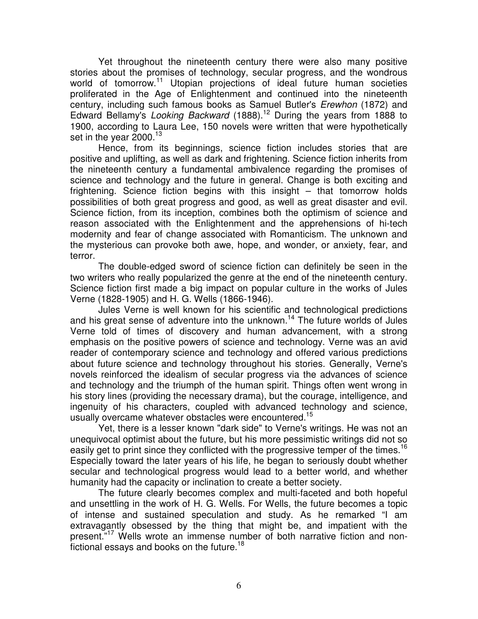Yet throughout the nineteenth century there were also many positive stories about the promises of technology, secular progress, and the wondrous world of tomorrow.<sup>11</sup> Utopian projections of ideal future human societies proliferated in the Age of Enlightenment and continued into the nineteenth century, including such famous books as Samuel Butler's *Erewhon* (1872) and Edward Bellamy's *Looking Backward* (1888). <sup>12</sup> During the years from 1888 to 1900, according to Laura Lee, 150 novels were written that were hypothetically set in the year 2000.<sup>13</sup>

Hence, from its beginnings, science fiction includes stories that are positive and uplifting, as well as dark and frightening. Science fiction inherits from the nineteenth century a fundamental ambivalence regarding the promises of science and technology and the future in general. Change is both exciting and frightening. Science fiction begins with this insight – that tomorrow holds possibilities of both great progress and good, as well as great disaster and evil. Science fiction, from its inception, combines both the optimism of science and reason associated with the Enlightenment and the apprehensions of hi-tech modernity and fear of change associated with Romanticism. The unknown and the mysterious can provoke both awe, hope, and wonder, or anxiety, fear, and terror.

The double-edged sword of science fiction can definitely be seen in the two writers who really popularized the genre at the end of the nineteenth century. Science fiction first made a big impact on popular culture in the works of Jules Verne (1828-1905) and H. G. Wells (1866-1946).

Jules Verne is well known for his scientific and technological predictions and his great sense of adventure into the unknown.<sup>14</sup> The future worlds of Jules Verne told of times of discovery and human advancement, with a strong emphasis on the positive powers of science and technology. Verne was an avid reader of contemporary science and technology and offered various predictions about future science and technology throughout his stories. Generally, Verne's novels reinforced the idealism of secular progress via the advances of science and technology and the triumph of the human spirit. Things often went wrong in his story lines (providing the necessary drama), but the courage, intelligence, and ingenuity of his characters, coupled with advanced technology and science, usually overcame whatever obstacles were encountered.<sup>15</sup>

Yet, there is a lesser known "dark side" to Verne's writings. He was not an unequivocal optimist about the future, but his more pessimistic writings did not so easily get to print since they conflicted with the progressive temper of the times.<sup>16</sup> Especially toward the later years of his life, he began to seriously doubt whether secular and technological progress would lead to a better world, and whether humanity had the capacity or inclination to create a better society.

The future clearly becomes complex and multi-faceted and both hopeful and unsettling in the work of H. G. Wells. For Wells, the future becomes a topic of intense and sustained speculation and study. As he remarked "I am extravagantly obsessed by the thing that might be, and impatient with the present."<sup>17</sup> Wells wrote an immense number of both narrative fiction and nonfictional essays and books on the future.<sup>18</sup>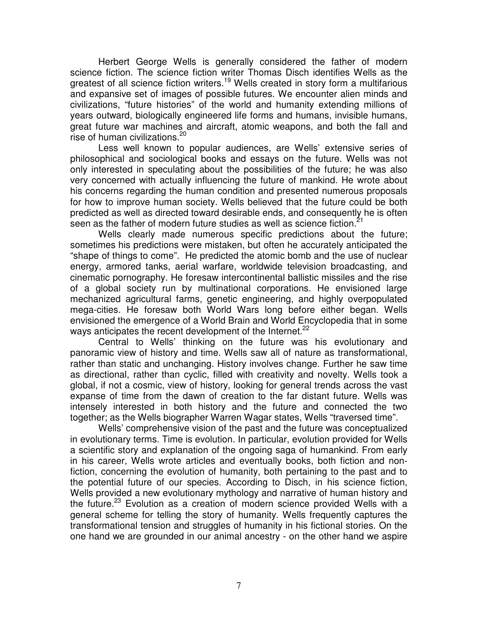Herbert George Wells is generally considered the father of modern science fiction. The science fiction writer Thomas Disch identifies Wells as the greatest of all science fiction writers.<sup>19</sup> Wells created in story form a multifarious and expansive set of images of possible futures. We encounter alien minds and civilizations, "future histories" of the world and humanity extending millions of years outward, biologically engineered life forms and humans, invisible humans, great future war machines and aircraft, atomic weapons, and both the fall and rise of human civilizations. 20

Less well known to popular audiences, are Wells' extensive series of philosophical and sociological books and essays on the future. Wells was not only interested in speculating about the possibilities of the future; he was also very concerned with actually influencing the future of mankind. He wrote about his concerns regarding the human condition and presented numerous proposals for how to improve human society. Wells believed that the future could be both predicted as well as directed toward desirable ends, and consequently he is often seen as the father of modern future studies as well as science fiction. $^{21}$ 

Wells clearly made numerous specific predictions about the future; sometimes his predictions were mistaken, but often he accurately anticipated the "shape of things to come". He predicted the atomic bomb and the use of nuclear energy, armored tanks, aerial warfare, worldwide television broadcasting, and cinematic pornography. He foresaw intercontinental ballistic missiles and the rise of a global society run by multinational corporations. He envisioned large mechanized agricultural farms, genetic engineering, and highly overpopulated mega-cities. He foresaw both World Wars long before either began. Wells envisioned the emergence of a World Brain and World Encyclopedia that in some ways anticipates the recent development of the Internet.<sup>22</sup>

Central to Wells' thinking on the future was his evolutionary and panoramic view of history and time. Wells saw all of nature as transformational, rather than static and unchanging. History involves change. Further he saw time as directional, rather than cyclic, filled with creativity and novelty. Wells took a global, if not a cosmic, view of history, looking for general trends across the vast expanse of time from the dawn of creation to the far distant future. Wells was intensely interested in both history and the future and connected the two together; as the Wells biographer Warren Wagar states, Wells "traversed time".

Wells' comprehensive vision of the past and the future was conceptualized in evolutionary terms. Time is evolution. In particular, evolution provided for Wells a scientific story and explanation of the ongoing saga of humankind. From early in his career, Wells wrote articles and eventually books, both fiction and nonfiction, concerning the evolution of humanity, both pertaining to the past and to the potential future of our species. According to Disch, in his science fiction, Wells provided a new evolutionary mythology and narrative of human history and the future.<sup>23</sup> Evolution as a creation of modern science provided Wells with a general scheme for telling the story of humanity. Wells frequently captures the transformational tension and struggles of humanity in his fictional stories. On the one hand we are grounded in our animal ancestry - on the other hand we aspire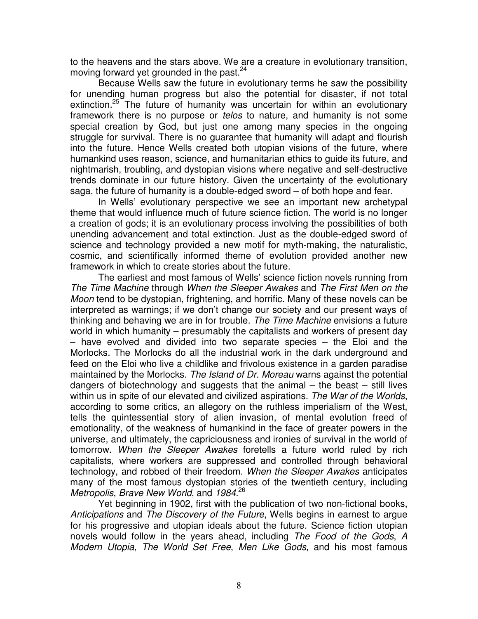to the heavens and the stars above. We are a creature in evolutionary transition, moving forward yet grounded in the past.<sup>24</sup>

Because Wells saw the future in evolutionary terms he saw the possibility for unending human progress but also the potential for disaster, if not total extinction.<sup>25</sup> The future of humanity was uncertain for within an evolutionary framework there is no purpose or *telos* to nature, and humanity is not some special creation by God, but just one among many species in the ongoing struggle for survival. There is no guarantee that humanity will adapt and flourish into the future. Hence Wells created both utopian visions of the future, where humankind uses reason, science, and humanitarian ethics to guide its future, and nightmarish, troubling, and dystopian visions where negative and self-destructive trends dominate in our future history. Given the uncertainty of the evolutionary saga, the future of humanity is a double-edged sword – of both hope and fear.

In Wells' evolutionary perspective we see an important new archetypal theme that would influence much of future science fiction. The world is no longer a creation of gods; it is an evolutionary process involving the possibilities of both unending advancement and total extinction. Just as the double-edged sword of science and technology provided a new motif for myth-making, the naturalistic, cosmic, and scientifically informed theme of evolution provided another new framework in which to create stories about the future.

The earliest and most famous of Wells' science fiction novels running from *The Time Machine* through *When the Sleeper Awakes* and *The First Men on the Moon* tend to be dystopian, frightening, and horrific. Many of these novels can be interpreted as warnings; if we don't change our society and our present ways of thinking and behaving we are in for trouble. *The Time Machine* envisions a future world in which humanity – presumably the capitalists and workers of present day – have evolved and divided into two separate species – the Eloi and the Morlocks. The Morlocks do all the industrial work in the dark underground and feed on the Eloi who live a childlike and frivolous existence in a garden paradise maintained by the Morlocks. *The Island of Dr. Moreau* warns against the potential dangers of biotechnology and suggests that the animal – the beast – still lives within us in spite of our elevated and civilized aspirations. *The War of the Worlds*, according to some critics, an allegory on the ruthless imperialism of the West, tells the quintessential story of alien invasion, of mental evolution freed of emotionality, of the weakness of humankind in the face of greater powers in the universe, and ultimately, the capriciousness and ironies of survival in the world of tomorrow. *When the Sleeper Awakes* foretells a future world ruled by rich capitalists, where workers are suppressed and controlled through behavioral technology, and robbed of their freedom. *When the Sleeper Awakes* anticipates many of the most famous dystopian stories of the twentieth century, including *Metropolis*, *Brave New World*, and *1984*. 26

Yet beginning in 1902, first with the publication of two non-fictional books, *Anticipations* and *The Discovery of the Future*, Wells begins in earnest to argue for his progressive and utopian ideals about the future. Science fiction utopian novels would follow in the years ahead, including *The Food of the Gods*, *A Modern Utopia*, *The World Set Free*, *Men Like Gods*, and his most famous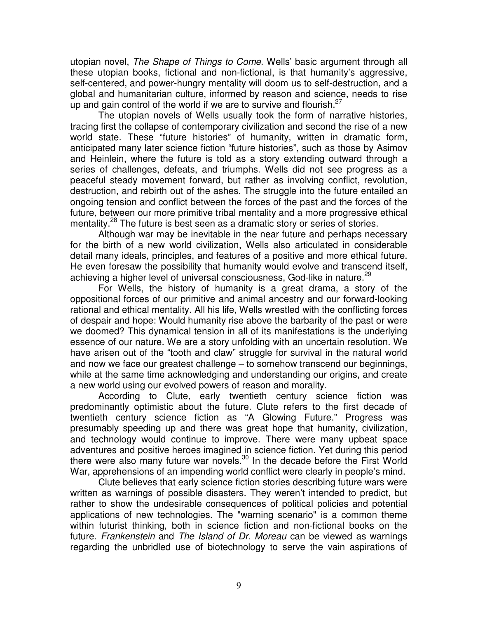utopian novel, *The Shape of Things to Come*. Wells' basic argument through all these utopian books, fictional and non-fictional, is that humanity's aggressive, self-centered, and power-hungry mentality will doom us to self-destruction, and a global and humanitarian culture, informed by reason and science, needs to rise up and gain control of the world if we are to survive and flourish. $27$ 

The utopian novels of Wells usually took the form of narrative histories, tracing first the collapse of contemporary civilization and second the rise of a new world state. These "future histories" of humanity, written in dramatic form, anticipated many later science fiction "future histories", such as those by Asimov and Heinlein, where the future is told as a story extending outward through a series of challenges, defeats, and triumphs. Wells did not see progress as a peaceful steady movement forward, but rather as involving conflict, revolution, destruction, and rebirth out of the ashes. The struggle into the future entailed an ongoing tension and conflict between the forces of the past and the forces of the future, between our more primitive tribal mentality and a more progressive ethical mentality.<sup>28</sup> The future is best seen as a dramatic story or series of stories.

Although war may be inevitable in the near future and perhaps necessary for the birth of a new world civilization, Wells also articulated in considerable detail many ideals, principles, and features of a positive and more ethical future. He even foresaw the possibility that humanity would evolve and transcend itself, achieving a higher level of universal consciousness, God-like in nature.<sup>29</sup>

For Wells, the history of humanity is a great drama, a story of the oppositional forces of our primitive and animal ancestry and our forward-looking rational and ethical mentality. All his life, Wells wrestled with the conflicting forces of despair and hope: Would humanity rise above the barbarity of the past or were we doomed? This dynamical tension in all of its manifestations is the underlying essence of our nature. We are a story unfolding with an uncertain resolution. We have arisen out of the "tooth and claw" struggle for survival in the natural world and now we face our greatest challenge – to somehow transcend our beginnings, while at the same time acknowledging and understanding our origins, and create a new world using our evolved powers of reason and morality.

According to Clute, early twentieth century science fiction was predominantly optimistic about the future. Clute refers to the first decade of twentieth century science fiction as "A Glowing Future." Progress was presumably speeding up and there was great hope that humanity, civilization, and technology would continue to improve. There were many upbeat space adventures and positive heroes imagined in science fiction. Yet during this period there were also many future war novels.<sup>30</sup> In the decade before the First World War, apprehensions of an impending world conflict were clearly in people's mind.

Clute believes that early science fiction stories describing future wars were written as warnings of possible disasters. They weren't intended to predict, but rather to show the undesirable consequences of political policies and potential applications of new technologies. The "warning scenario" is a common theme within futurist thinking, both in science fiction and non-fictional books on the future. *Frankenstein* and *The Island of Dr. Moreau* can be viewed as warnings regarding the unbridled use of biotechnology to serve the vain aspirations of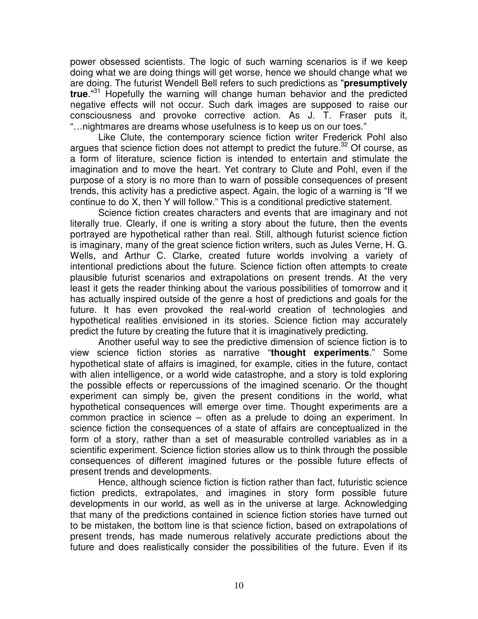power obsessed scientists. The logic of such warning scenarios is if we keep doing what we are doing things will get worse, hence we should change what we are doing. The futurist Wendell Bell refers to such predictions as "**presumptively true**." <sup>31</sup> Hopefully the warning will change human behavior and the predicted negative effects will not occur. Such dark images are supposed to raise our consciousness and provoke corrective action. As J. T. Fraser puts it, "…nightmares are dreams whose usefulness is to keep us on our toes."

Like Clute, the contemporary science fiction writer Frederick Pohl also argues that science fiction does not attempt to predict the future.<sup>32</sup> Of course, as a form of literature, science fiction is intended to entertain and stimulate the imagination and to move the heart. Yet contrary to Clute and Pohl, even if the purpose of a story is no more than to warn of possible consequences of present trends, this activity has a predictive aspect. Again, the logic of a warning is "If we continue to do X, then Y will follow." This is a conditional predictive statement.

Science fiction creates characters and events that are imaginary and not literally true. Clearly, if one is writing a story about the future, then the events portrayed are hypothetical rather than real. Still, although futurist science fiction is imaginary, many of the great science fiction writers, such as Jules Verne, H. G. Wells, and Arthur C. Clarke, created future worlds involving a variety of intentional predictions about the future. Science fiction often attempts to create plausible futurist scenarios and extrapolations on present trends. At the very least it gets the reader thinking about the various possibilities of tomorrow and it has actually inspired outside of the genre a host of predictions and goals for the future. It has even provoked the real-world creation of technologies and hypothetical realities envisioned in its stories. Science fiction may accurately predict the future by creating the future that it is imaginatively predicting.

Another useful way to see the predictive dimension of science fiction is to view science fiction stories as narrative "**thought experiments**." Some hypothetical state of affairs is imagined, for example, cities in the future, contact with alien intelligence, or a world wide catastrophe, and a story is told exploring the possible effects or repercussions of the imagined scenario. Or the thought experiment can simply be, given the present conditions in the world, what hypothetical consequences will emerge over time. Thought experiments are a common practice in science – often as a prelude to doing an experiment. In science fiction the consequences of a state of affairs are conceptualized in the form of a story, rather than a set of measurable controlled variables as in a scientific experiment. Science fiction stories allow us to think through the possible consequences of different imagined futures or the possible future effects of present trends and developments.

Hence, although science fiction is fiction rather than fact, futuristic science fiction predicts, extrapolates, and imagines in story form possible future developments in our world, as well as in the universe at large. Acknowledging that many of the predictions contained in science fiction stories have turned out to be mistaken, the bottom line is that science fiction, based on extrapolations of present trends, has made numerous relatively accurate predictions about the future and does realistically consider the possibilities of the future. Even if its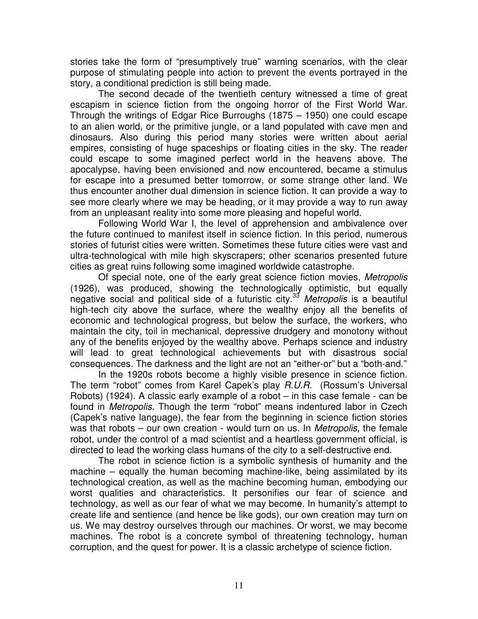stories take the form of "presumptively true" warning scenarios, with the clear purpose of stimulating people into action to prevent the events portrayed in the story, a conditional prediction is still being made.

The second decade of the twentieth century witnessed a time of great escapism in science fiction from the ongoing horror of the First World War. Through the writings of Edgar Rice Burroughs (1875 – 1950) one could escape to an alien world, or the primitive jungle, or a land populated with cave men and dinosaurs. Also during this period many stories were written about aerial empires, consisting of huge spaceships or floating cities in the sky. The reader could escape to some imagined perfect world in the heavens above. The apocalypse, having been envisioned and now encountered, became a stimulus for escape into a presumed better tomorrow, or some strange other land. We thus encounter another dual dimension in science fiction. It can provide a way to see more clearly where we may be heading, or it may provide a way to run away from an unpleasant reality into some more pleasing and hopeful world.

Following World War I, the level of apprehension and ambivalence over the future continued to manifest itself in science fiction. In this period, numerous stories of futurist cities were written. Sometimes these future cities were vast and ultra-technological with mile high skyscrapers; other scenarios presented future cities as great ruins following some imagined worldwide catastrophe.

Of special note, one of the early great science fiction movies, *Metropolis* (1926), was produced, showing the technologically optimistic, but equally negative social and political side of a futuristic city. <sup>33</sup> *Metropolis* is a beautiful high-tech city above the surface, where the wealthy enjoy all the benefits of economic and technological progress, but below the surface, the workers, who maintain the city, toil in mechanical, depressive drudgery and monotony without any of the benefits enjoyed by the wealthy above. Perhaps science and industry will lead to great technological achievements but with disastrous social consequences. The darkness and the light are not an "either-or" but a "both-and."

In the 1920s robots become a highly visible presence in science fiction. The term "robot" comes from Karel Capek's play *R.U.R.* (Rossum's Universal Robots) (1924). A classic early example of a robot – in this case female - can be found in *Metropolis*. Though the term "robot" means indentured labor in Czech (Capek's native language), the fear from the beginning in science fiction stories was that robots – our own creation - would turn on us. In *Metropolis,* the female robot, under the control of a mad scientist and a heartless government official, is directed to lead the working class humans of the city to a self-destructive end.

The robot in science fiction is a symbolic synthesis of humanity and the machine – equally the human becoming machine-like, being assimilated by its technological creation, as well as the machine becoming human, embodying our worst qualities and characteristics. It personifies our fear of science and technology, as well as our fear of what we may become. In humanity's attempt to create life and sentience (and hence be like gods), our own creation may turn on us. We may destroy ourselves through our machines. Or worst, we may become machines. The robot is a concrete symbol of threatening technology, human corruption, and the quest for power. It is a classic archetype of science fiction.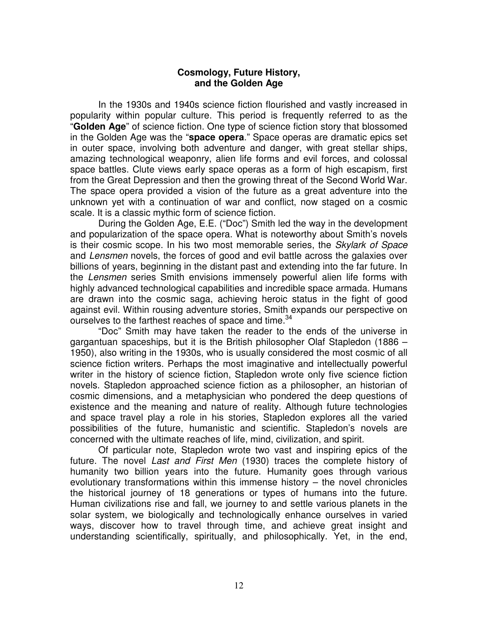### **Cosmology, Future History, and the Golden Age**

In the 1930s and 1940s science fiction flourished and vastly increased in popularity within popular culture. This period is frequently referred to as the "**Golden Age**" of science fiction. One type of science fiction story that blossomed in the Golden Age was the "**space opera**." Space operas are dramatic epics set in outer space, involving both adventure and danger, with great stellar ships, amazing technological weaponry, alien life forms and evil forces, and colossal space battles. Clute views early space operas as a form of high escapism, first from the Great Depression and then the growing threat of the Second World War. The space opera provided a vision of the future as a great adventure into the unknown yet with a continuation of war and conflict, now staged on a cosmic scale. It is a classic mythic form of science fiction.

During the Golden Age, E.E. ("Doc") Smith led the way in the development and popularization of the space opera. What is noteworthy about Smith's novels is their cosmic scope. In his two most memorable series, the *Skylark of Space* and *Lensmen* novels, the forces of good and evil battle across the galaxies over billions of years, beginning in the distant past and extending into the far future. In the *Lensmen* series Smith envisions immensely powerful alien life forms with highly advanced technological capabilities and incredible space armada. Humans are drawn into the cosmic saga, achieving heroic status in the fight of good against evil. Within rousing adventure stories, Smith expands our perspective on ourselves to the farthest reaches of space and time.<sup>34</sup>

"Doc" Smith may have taken the reader to the ends of the universe in gargantuan spaceships, but it is the British philosopher Olaf Stapledon (1886 – 1950), also writing in the 1930s, who is usually considered the most cosmic of all science fiction writers. Perhaps the most imaginative and intellectually powerful writer in the history of science fiction, Stapledon wrote only five science fiction novels. Stapledon approached science fiction as a philosopher, an historian of cosmic dimensions, and a metaphysician who pondered the deep questions of existence and the meaning and nature of reality. Although future technologies and space travel play a role in his stories, Stapledon explores all the varied possibilities of the future, humanistic and scientific. Stapledon's novels are concerned with the ultimate reaches of life, mind, civilization, and spirit.

Of particular note, Stapledon wrote two vast and inspiring epics of the future. The novel *Last and First Men* (1930) traces the complete history of humanity two billion years into the future. Humanity goes through various evolutionary transformations within this immense history – the novel chronicles the historical journey of 18 generations or types of humans into the future. Human civilizations rise and fall, we journey to and settle various planets in the solar system, we biologically and technologically enhance ourselves in varied ways, discover how to travel through time, and achieve great insight and understanding scientifically, spiritually, and philosophically. Yet, in the end,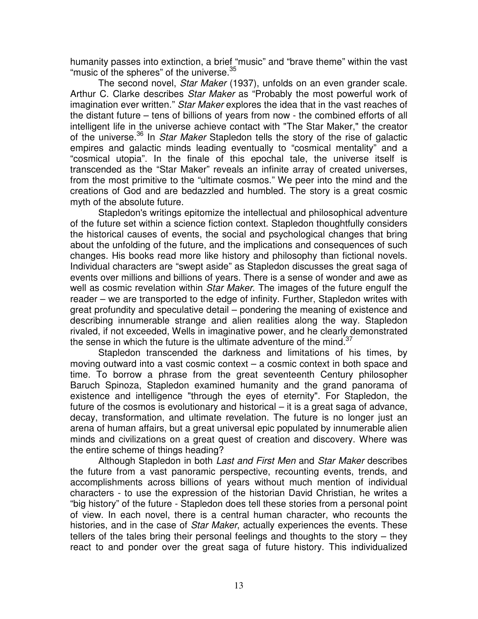humanity passes into extinction, a brief "music" and "brave theme" within the vast "music of the spheres" of the universe.<sup>35</sup>

The second novel, *Star Maker* (1937), unfolds on an even grander scale. Arthur C. Clarke describes *Star Maker* as "Probably the most powerful work of imagination ever written." *Star Maker* explores the idea that in the vast reaches of the distant future – tens of billions of years from now - the combined efforts of all intelligent life in the universe achieve contact with "The Star Maker," the creator of the universe. 36 In *Star Maker* Stapledon tells the story of the rise of galactic empires and galactic minds leading eventually to "cosmical mentality" and a "cosmical utopia". In the finale of this epochal tale, the universe itself is transcended as the "Star Maker" reveals an infinite array of created universes, from the most primitive to the "ultimate cosmos." We peer into the mind and the creations of God and are bedazzled and humbled. The story is a great cosmic myth of the absolute future.

Stapledon's writings epitomize the intellectual and philosophical adventure of the future set within a science fiction context. Stapledon thoughtfully considers the historical causes of events, the social and psychological changes that bring about the unfolding of the future, and the implications and consequences of such changes. His books read more like history and philosophy than fictional novels. Individual characters are "swept aside" as Stapledon discusses the great saga of events over millions and billions of years. There is a sense of wonder and awe as well as cosmic revelation within *Star Maker*. The images of the future engulf the reader – we are transported to the edge of infinity. Further, Stapledon writes with great profundity and speculative detail – pondering the meaning of existence and describing innumerable strange and alien realities along the way. Stapledon rivaled, if not exceeded, Wells in imaginative power, and he clearly demonstrated the sense in which the future is the ultimate adventure of the mind. $37$ 

Stapledon transcended the darkness and limitations of his times, by moving outward into a vast cosmic context – a cosmic context in both space and time. To borrow a phrase from the great seventeenth Century philosopher Baruch Spinoza, Stapledon examined humanity and the grand panorama of existence and intelligence "through the eyes of eternity". For Stapledon, the future of the cosmos is evolutionary and historical – it is a great saga of advance, decay, transformation, and ultimate revelation. The future is no longer just an arena of human affairs, but a great universal epic populated by innumerable alien minds and civilizations on a great quest of creation and discovery. Where was the entire scheme of things heading?

Although Stapledon in both *Last and First Men* and *Star Maker* describes the future from a vast panoramic perspective, recounting events, trends, and accomplishments across billions of years without much mention of individual characters - to use the expression of the historian David Christian, he writes a "big history" of the future - Stapledon does tell these stories from a personal point of view. In each novel, there is a central human character, who recounts the histories, and in the case of *Star Maker*, actually experiences the events. These tellers of the tales bring their personal feelings and thoughts to the story – they react to and ponder over the great saga of future history. This individualized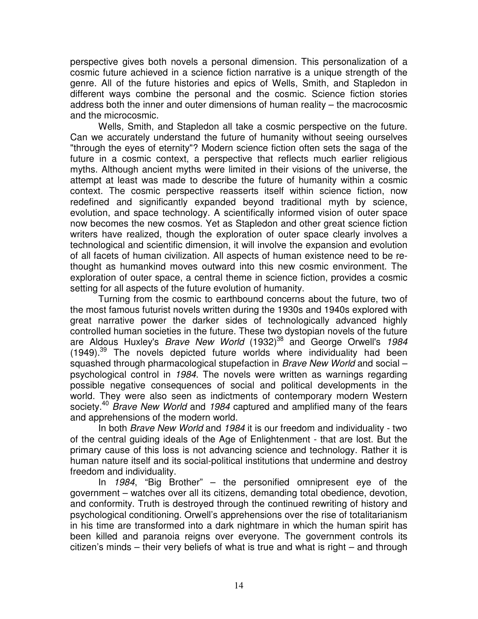perspective gives both novels a personal dimension. This personalization of a cosmic future achieved in a science fiction narrative is a unique strength of the genre. All of the future histories and epics of Wells, Smith, and Stapledon in different ways combine the personal and the cosmic. Science fiction stories address both the inner and outer dimensions of human reality – the macrocosmic and the microcosmic.

Wells, Smith, and Stapledon all take a cosmic perspective on the future. Can we accurately understand the future of humanity without seeing ourselves "through the eyes of eternity"? Modern science fiction often sets the saga of the future in a cosmic context, a perspective that reflects much earlier religious myths. Although ancient myths were limited in their visions of the universe, the attempt at least was made to describe the future of humanity within a cosmic context. The cosmic perspective reasserts itself within science fiction, now redefined and significantly expanded beyond traditional myth by science, evolution, and space technology. A scientifically informed vision of outer space now becomes the new cosmos. Yet as Stapledon and other great science fiction writers have realized, though the exploration of outer space clearly involves a technological and scientific dimension, it will involve the expansion and evolution of all facets of human civilization. All aspects of human existence need to be rethought as humankind moves outward into this new cosmic environment. The exploration of outer space, a central theme in science fiction, provides a cosmic setting for all aspects of the future evolution of humanity.

Turning from the cosmic to earthbound concerns about the future, two of the most famous futurist novels written during the 1930s and 1940s explored with great narrative power the darker sides of technologically advanced highly controlled human societies in the future. These two dystopian novels of the future are Aldous Huxley's *Brave New World* (1932) 38 and George Orwell's *1984* (1949).<sup>39</sup> The novels depicted future worlds where individuality had been squashed through pharmacological stupefaction in *Brave New World* and social – psychological control in *1984*. The novels were written as warnings regarding possible negative consequences of social and political developments in the world. They were also seen as indictments of contemporary modern Western society. <sup>40</sup> *Brave New World* and *1984* captured and amplified many of the fears and apprehensions of the modern world.

In both *Brave New World* and *1984* it is our freedom and individuality - two of the central guiding ideals of the Age of Enlightenment - that are lost. But the primary cause of this loss is not advancing science and technology. Rather it is human nature itself and its social-political institutions that undermine and destroy freedom and individuality.

In *1984*, "Big Brother" – the personified omnipresent eye of the government – watches over all its citizens, demanding total obedience, devotion, and conformity. Truth is destroyed through the continued rewriting of history and psychological conditioning. Orwell's apprehensions over the rise of totalitarianism in his time are transformed into a dark nightmare in which the human spirit has been killed and paranoia reigns over everyone. The government controls its citizen's minds – their very beliefs of what is true and what is right – and through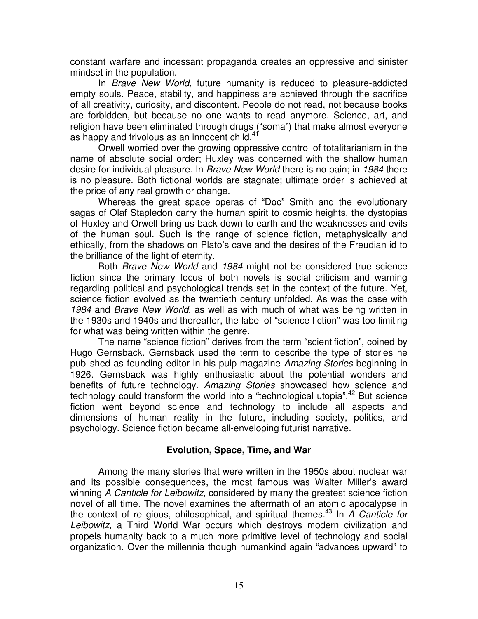constant warfare and incessant propaganda creates an oppressive and sinister mindset in the population.

In *Brave New World*, future humanity is reduced to pleasure-addicted empty souls. Peace, stability, and happiness are achieved through the sacrifice of all creativity, curiosity, and discontent. People do not read, not because books are forbidden, but because no one wants to read anymore. Science, art, and religion have been eliminated through drugs ("soma") that make almost everyone as happy and frivolous as an innocent child.<sup>41</sup>

Orwell worried over the growing oppressive control of totalitarianism in the name of absolute social order; Huxley was concerned with the shallow human desire for individual pleasure. In *Brave New World* there is no pain; in *1984* there is no pleasure. Both fictional worlds are stagnate; ultimate order is achieved at the price of any real growth or change.

Whereas the great space operas of "Doc" Smith and the evolutionary sagas of Olaf Stapledon carry the human spirit to cosmic heights, the dystopias of Huxley and Orwell bring us back down to earth and the weaknesses and evils of the human soul. Such is the range of science fiction, metaphysically and ethically, from the shadows on Plato's cave and the desires of the Freudian id to the brilliance of the light of eternity.

Both *Brave New World* and *1984* might not be considered true science fiction since the primary focus of both novels is social criticism and warning regarding political and psychological trends set in the context of the future. Yet, science fiction evolved as the twentieth century unfolded. As was the case with *1984* and *Brave New World*, as well as with much of what was being written in the 1930s and 1940s and thereafter, the label of "science fiction" was too limiting for what was being written within the genre.

The name "science fiction" derives from the term "scientifiction", coined by Hugo Gernsback. Gernsback used the term to describe the type of stories he published as founding editor in his pulp magazine *Amazing Stories* beginning in 1926. Gernsback was highly enthusiastic about the potential wonders and benefits of future technology. *Amazing Stories* showcased how science and technology could transform the world into a "technological utopia".<sup>42</sup> But science fiction went beyond science and technology to include all aspects and dimensions of human reality in the future, including society, politics, and psychology. Science fiction became all-enveloping futurist narrative.

# **Evolution, Space, Time, and War**

Among the many stories that were written in the 1950s about nuclear war and its possible consequences, the most famous was Walter Miller's award winning *A Canticle for Leibowitz*, considered by many the greatest science fiction novel of all time. The novel examines the aftermath of an atomic apocalypse in the context of religious, philosophical, and spiritual themes. 43 In *A Canticle for Leibowitz*, a Third World War occurs which destroys modern civilization and propels humanity back to a much more primitive level of technology and social organization. Over the millennia though humankind again "advances upward" to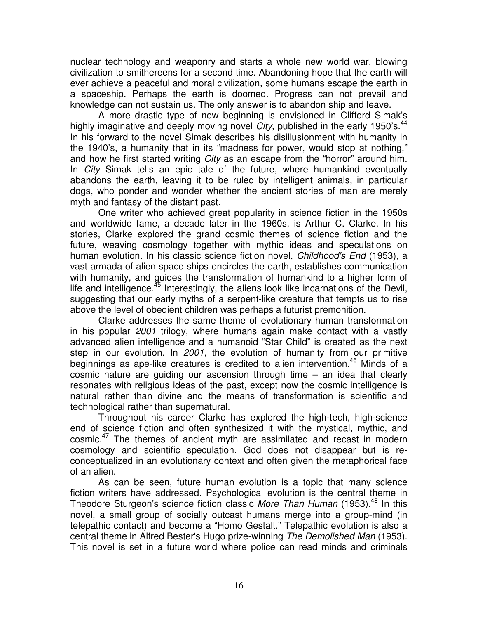nuclear technology and weaponry and starts a whole new world war, blowing civilization to smithereens for a second time. Abandoning hope that the earth will ever achieve a peaceful and moral civilization, some humans escape the earth in a spaceship. Perhaps the earth is doomed. Progress can not prevail and knowledge can not sustain us. The only answer is to abandon ship and leave.

A more drastic type of new beginning is envisioned in Clifford Simak's highly imaginative and deeply moving novel *City*, published in the early 1950's. 44 In his forward to the novel Simak describes his disillusionment with humanity in the 1940's, a humanity that in its "madness for power, would stop at nothing," and how he first started writing *City* as an escape from the "horror" around him. In *City* Simak tells an epic tale of the future, where humankind eventually abandons the earth, leaving it to be ruled by intelligent animals, in particular dogs, who ponder and wonder whether the ancient stories of man are merely myth and fantasy of the distant past.

One writer who achieved great popularity in science fiction in the 1950s and worldwide fame, a decade later in the 1960s, is Arthur C. Clarke. In his stories, Clarke explored the grand cosmic themes of science fiction and the future, weaving cosmology together with mythic ideas and speculations on human evolution. In his classic science fiction novel, *Childhood's End* (1953), a vast armada of alien space ships encircles the earth, establishes communication with humanity, and guides the transformation of humankind to a higher form of life and intelligence.<sup>45</sup> Interestingly, the aliens look like incarnations of the Devil, suggesting that our early myths of a serpent-like creature that tempts us to rise above the level of obedient children was perhaps a futurist premonition.

Clarke addresses the same theme of evolutionary human transformation in his popular *2001* trilogy, where humans again make contact with a vastly advanced alien intelligence and a humanoid "Star Child" is created as the next step in our evolution. In *2001*, the evolution of humanity from our primitive beginnings as ape-like creatures is credited to alien intervention. <sup>46</sup> Minds of a cosmic nature are guiding our ascension through time – an idea that clearly resonates with religious ideas of the past, except now the cosmic intelligence is natural rather than divine and the means of transformation is scientific and technological rather than supernatural.

Throughout his career Clarke has explored the high-tech, high-science end of science fiction and often synthesized it with the mystical, mythic, and cosmic.<sup>47</sup> The themes of ancient myth are assimilated and recast in modern cosmology and scientific speculation. God does not disappear but is reconceptualized in an evolutionary context and often given the metaphorical face of an alien.

As can be seen, future human evolution is a topic that many science fiction writers have addressed. Psychological evolution is the central theme in Theodore Sturgeon's science fiction classic *More Than Human* (1953). 48 In this novel, a small group of socially outcast humans merge into a group-mind (in telepathic contact) and become a "Homo Gestalt." Telepathic evolution is also a central theme in Alfred Bester's Hugo prize-winning *The Demolished Man* (1953). This novel is set in a future world where police can read minds and criminals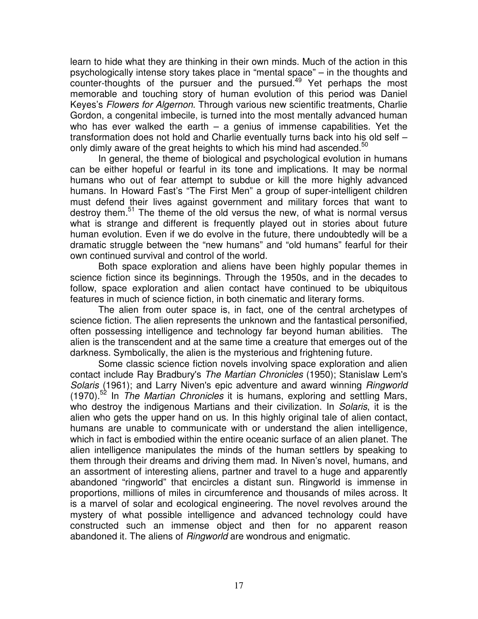learn to hide what they are thinking in their own minds. Much of the action in this psychologically intense story takes place in "mental space" – in the thoughts and counter-thoughts of the pursuer and the pursued.<sup>49</sup> Yet perhaps the most memorable and touching story of human evolution of this period was Daniel Keyes's *Flowers for Algernon*. Through various new scientific treatments, Charlie Gordon, a congenital imbecile, is turned into the most mentally advanced human who has ever walked the earth  $-$  a genius of immense capabilities. Yet the transformation does not hold and Charlie eventually turns back into his old self – only dimly aware of the great heights to which his mind had ascended.<sup>50</sup>

In general, the theme of biological and psychological evolution in humans can be either hopeful or fearful in its tone and implications. It may be normal humans who out of fear attempt to subdue or kill the more highly advanced humans. In Howard Fast's "The First Men" a group of super-intelligent children must defend their lives against government and military forces that want to destroy them.<sup>51</sup> The theme of the old versus the new, of what is normal versus what is strange and different is frequently played out in stories about future human evolution. Even if we do evolve in the future, there undoubtedly will be a dramatic struggle between the "new humans" and "old humans" fearful for their own continued survival and control of the world.

Both space exploration and aliens have been highly popular themes in science fiction since its beginnings. Through the 1950s, and in the decades to follow, space exploration and alien contact have continued to be ubiquitous features in much of science fiction, in both cinematic and literary forms.

The alien from outer space is, in fact, one of the central archetypes of science fiction. The alien represents the unknown and the fantastical personified, often possessing intelligence and technology far beyond human abilities. The alien is the transcendent and at the same time a creature that emerges out of the darkness. Symbolically, the alien is the mysterious and frightening future.

Some classic science fiction novels involving space exploration and alien contact include Ray Bradbury's *The Martian Chronicles* (1950); Stanislaw Lem's *Solaris* (1961); and Larry Niven's epic adventure and award winning *Ringworld* (1970). 52 In *The Martian Chronicles* it is humans, exploring and settling Mars, who destroy the indigenous Martians and their civilization. In *Solaris*, it is the alien who gets the upper hand on us. In this highly original tale of alien contact, humans are unable to communicate with or understand the alien intelligence, which in fact is embodied within the entire oceanic surface of an alien planet. The alien intelligence manipulates the minds of the human settlers by speaking to them through their dreams and driving them mad. In Niven's novel, humans, and an assortment of interesting aliens, partner and travel to a huge and apparently abandoned "ringworld" that encircles a distant sun. Ringworld is immense in proportions, millions of miles in circumference and thousands of miles across. It is a marvel of solar and ecological engineering. The novel revolves around the mystery of what possible intelligence and advanced technology could have constructed such an immense object and then for no apparent reason abandoned it. The aliens of *Ringworld* are wondrous and enigmatic.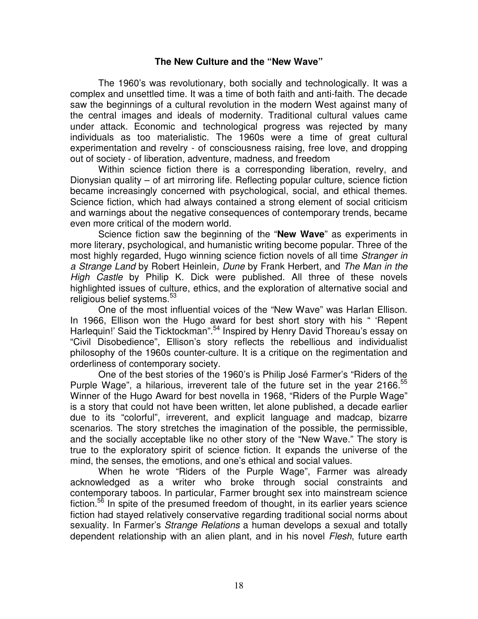#### **The New Culture and the "New Wave"**

The 1960's was revolutionary, both socially and technologically. It was a complex and unsettled time. It was a time of both faith and anti-faith. The decade saw the beginnings of a cultural revolution in the modern West against many of the central images and ideals of modernity. Traditional cultural values came under attack. Economic and technological progress was rejected by many individuals as too materialistic. The 1960s were a time of great cultural experimentation and revelry - of consciousness raising, free love, and dropping out of society - of liberation, adventure, madness, and freedom

Within science fiction there is a corresponding liberation, revelry, and Dionysian quality – of art mirroring life. Reflecting popular culture, science fiction became increasingly concerned with psychological, social, and ethical themes. Science fiction, which had always contained a strong element of social criticism and warnings about the negative consequences of contemporary trends, became even more critical of the modern world.

Science fiction saw the beginning of the "**New Wave**" as experiments in more literary, psychological, and humanistic writing become popular. Three of the most highly regarded, Hugo winning science fiction novels of all time *Stranger in a Strange Land* by Robert Heinlein*, Dune* by Frank Herbert, and *The Man in the High Castle* by Philip K. Dick were published. All three of these novels highlighted issues of culture, ethics, and the exploration of alternative social and religious belief systems.<sup>53</sup>

One of the most influential voices of the "New Wave" was Harlan Ellison. In 1966, Ellison won the Hugo award for best short story with his " 'Repent Harlequin!' Said the Ticktockman".<sup>54</sup> Inspired by Henry David Thoreau's essay on "Civil Disobedience", Ellison's story reflects the rebellious and individualist philosophy of the 1960s counter-culture. It is a critique on the regimentation and orderliness of contemporary society.

One of the best stories of the 1960's is Philip José Farmer's "Riders of the Purple Wage", a hilarious, irreverent tale of the future set in the year 2166.<sup>55</sup> Winner of the Hugo Award for best novella in 1968, "Riders of the Purple Wage" is a story that could not have been written, let alone published, a decade earlier due to its "colorful", irreverent, and explicit language and madcap, bizarre scenarios. The story stretches the imagination of the possible, the permissible, and the socially acceptable like no other story of the "New Wave." The story is true to the exploratory spirit of science fiction. It expands the universe of the mind, the senses, the emotions, and one's ethical and social values.

When he wrote "Riders of the Purple Wage", Farmer was already acknowledged as a writer who broke through social constraints and contemporary taboos. In particular, Farmer brought sex into mainstream science fiction.<sup>56</sup> In spite of the presumed freedom of thought, in its earlier years science fiction had stayed relatively conservative regarding traditional social norms about sexuality. In Farmer's *Strange Relations* a human develops a sexual and totally dependent relationship with an alien plant, and in his novel *Flesh*, future earth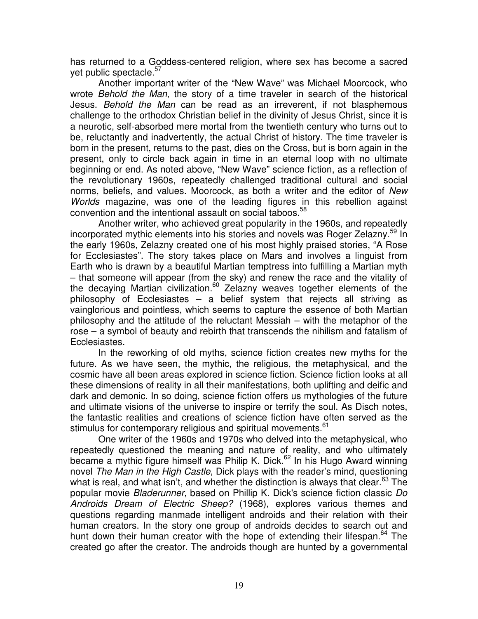has returned to a Goddess-centered religion, where sex has become a sacred yet public spectacle.<sup>57</sup>

Another important writer of the "New Wave" was Michael Moorcock, who wrote *Behold the Man*, the story of a time traveler in search of the historical Jesus. *Behold the Man* can be read as an irreverent, if not blasphemous challenge to the orthodox Christian belief in the divinity of Jesus Christ, since it is a neurotic, self-absorbed mere mortal from the twentieth century who turns out to be, reluctantly and inadvertently, the actual Christ of history. The time traveler is born in the present, returns to the past, dies on the Cross, but is born again in the present, only to circle back again in time in an eternal loop with no ultimate beginning or end. As noted above, "New Wave" science fiction, as a reflection of the revolutionary 1960s, repeatedly challenged traditional cultural and social norms, beliefs, and values. Moorcock, as both a writer and the editor of *New Worlds* magazine, was one of the leading figures in this rebellion against convention and the intentional assault on social taboos. 58

Another writer, who achieved great popularity in the 1960s, and repeatedly incorporated mythic elements into his stories and novels was Roger Zelazny.<sup>59</sup> In the early 1960s, Zelazny created one of his most highly praised stories, "A Rose for Ecclesiastes". The story takes place on Mars and involves a linguist from Earth who is drawn by a beautiful Martian temptress into fulfilling a Martian myth – that someone will appear (from the sky) and renew the race and the vitality of the decaying Martian civilization.<sup>60</sup> Zelazny weaves together elements of the philosophy of Ecclesiastes – a belief system that rejects all striving as vainglorious and pointless, which seems to capture the essence of both Martian philosophy and the attitude of the reluctant Messiah – with the metaphor of the rose – a symbol of beauty and rebirth that transcends the nihilism and fatalism of Ecclesiastes.

In the reworking of old myths, science fiction creates new myths for the future. As we have seen, the mythic, the religious, the metaphysical, and the cosmic have all been areas explored in science fiction. Science fiction looks at all these dimensions of reality in all their manifestations, both uplifting and deific and dark and demonic. In so doing, science fiction offers us mythologies of the future and ultimate visions of the universe to inspire or terrify the soul. As Disch notes, the fantastic realities and creations of science fiction have often served as the stimulus for contemporary religious and spiritual movements.<sup>61</sup>

One writer of the 1960s and 1970s who delved into the metaphysical, who repeatedly questioned the meaning and nature of reality, and who ultimately became a mythic figure himself was Philip K. Dick.<sup>62</sup> In his Hugo Award winning novel *The Man in the High Castle*, Dick plays with the reader's mind, questioning what is real, and what isn't, and whether the distinction is always that clear.<sup>63</sup> The popular movie *Bladerunner*, based on Phillip K. Dick's science fiction classic *Do Androids Dream of Electric Sheep?* (1968), explores various themes and questions regarding manmade intelligent androids and their relation with their human creators. In the story one group of androids decides to search out and hunt down their human creator with the hope of extending their lifespan.<sup>64</sup> The created go after the creator. The androids though are hunted by a governmental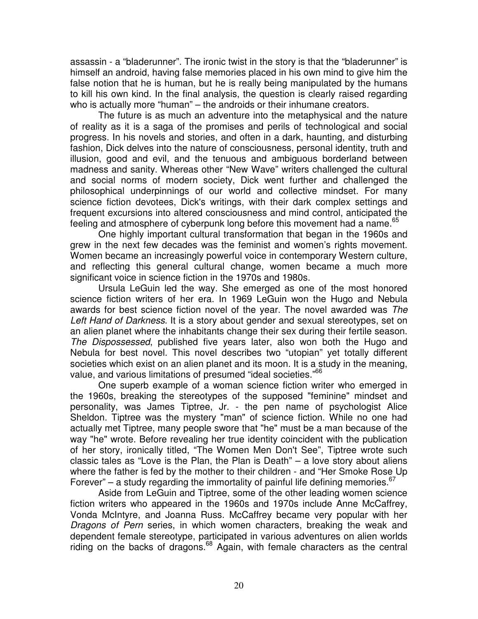assassin - a "bladerunner". The ironic twist in the story is that the "bladerunner" is himself an android, having false memories placed in his own mind to give him the false notion that he is human, but he is really being manipulated by the humans to kill his own kind. In the final analysis, the question is clearly raised regarding who is actually more "human" – the androids or their inhumane creators.

The future is as much an adventure into the metaphysical and the nature of reality as it is a saga of the promises and perils of technological and social progress. In his novels and stories, and often in a dark, haunting, and disturbing fashion, Dick delves into the nature of consciousness, personal identity, truth and illusion, good and evil, and the tenuous and ambiguous borderland between madness and sanity. Whereas other "New Wave" writers challenged the cultural and social norms of modern society, Dick went further and challenged the philosophical underpinnings of our world and collective mindset. For many science fiction devotees, Dick's writings, with their dark complex settings and frequent excursions into altered consciousness and mind control, anticipated the feeling and atmosphere of cyberpunk long before this movement had a name.<sup>65</sup>

One highly important cultural transformation that began in the 1960s and grew in the next few decades was the feminist and women's rights movement. Women became an increasingly powerful voice in contemporary Western culture, and reflecting this general cultural change, women became a much more significant voice in science fiction in the 1970s and 1980s.

Ursula LeGuin led the way. She emerged as one of the most honored science fiction writers of her era. In 1969 LeGuin won the Hugo and Nebula awards for best science fiction novel of the year. The novel awarded was *The Left Hand of Darkness*. It is a story about gender and sexual stereotypes, set on an alien planet where the inhabitants change their sex during their fertile season. *The Dispossessed*, published five years later, also won both the Hugo and Nebula for best novel. This novel describes two "utopian" yet totally different societies which exist on an alien planet and its moon. It is a study in the meaning, value, and various limitations of presumed "ideal societies."<sup>66</sup>

One superb example of a woman science fiction writer who emerged in the 1960s, breaking the stereotypes of the supposed "feminine" mindset and personality, was James Tiptree, Jr. - the pen name of psychologist Alice Sheldon. Tiptree was the mystery "man" of science fiction. While no one had actually met Tiptree, many people swore that "he" must be a man because of the way "he" wrote. Before revealing her true identity coincident with the publication of her story, ironically titled, "The Women Men Don't See", Tiptree wrote such classic tales as "Love is the Plan, the Plan is Death" – a love story about aliens where the father is fed by the mother to their children - and "Her Smoke Rose Up Forever" – a study regarding the immortality of painful life defining memories.  $67$ 

Aside from LeGuin and Tiptree, some of the other leading women science fiction writers who appeared in the 1960s and 1970s include Anne McCaffrey, Vonda McIntyre, and Joanna Russ. McCaffrey became very popular with her *Dragons of Pern* series, in which women characters, breaking the weak and dependent female stereotype, participated in various adventures on alien worlds riding on the backs of dragons.<sup>68</sup> Again, with female characters as the central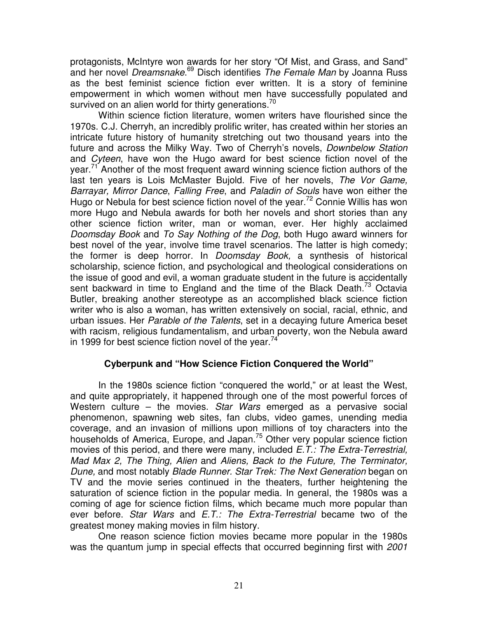protagonists, McIntyre won awards for her story "Of Mist, and Grass, and Sand" and her novel *Dreamsnake*. <sup>69</sup> Disch identifies *The Female Man* by Joanna Russ as the best feminist science fiction ever written. It is a story of feminine empowerment in which women without men have successfully populated and survived on an alien world for thirty generations.<sup>70</sup>

Within science fiction literature, women writers have flourished since the 1970s. C.J. Cherryh, an incredibly prolific writer, has created within her stories an intricate future history of humanity stretching out two thousand years into the future and across the Milky Way. Two of Cherryh's novels, *Downbelow Station* and *Cyteen*, have won the Hugo award for best science fiction novel of the year.<sup>71</sup> Another of the most frequent award winning science fiction authors of the last ten years is Lois McMaster Bujold. Five of her novels, *The Vor Game, Barrayar, Mirror Dance*, *Falling Free*, and *Paladin of Souls* have won either the Hugo or Nebula for best science fiction novel of the year.<sup>72</sup> Connie Willis has won more Hugo and Nebula awards for both her novels and short stories than any other science fiction writer, man or woman, ever. Her highly acclaimed *Doomsday Book* and *To Say Nothing of the Dog*, both Hugo award winners for best novel of the year, involve time travel scenarios. The latter is high comedy; the former is deep horror. In *Doomsday Book,* a synthesis of historical scholarship, science fiction, and psychological and theological considerations on the issue of good and evil, a woman graduate student in the future is accidentally sent backward in time to England and the time of the Black Death.<sup>73</sup> Octavia Butler, breaking another stereotype as an accomplished black science fiction writer who is also a woman, has written extensively on social, racial, ethnic, and urban issues. Her *Parable of the Talents*, set in a decaying future America beset with racism, religious fundamentalism, and urban poverty, won the Nebula award in 1999 for best science fiction novel of the year.<sup>74</sup>

### **Cyberpunk and "How Science Fiction Conquered the World"**

In the 1980s science fiction "conquered the world," or at least the West, and quite appropriately, it happened through one of the most powerful forces of Western culture – the movies. *Star Wars* emerged as a pervasive social phenomenon, spawning web sites, fan clubs, video games, unending media coverage, and an invasion of millions upon millions of toy characters into the households of America, Europe, and Japan.<sup>75</sup> Other very popular science fiction movies of this period, and there were many, included *E.T.: The Extra-Terrestrial, Mad Max 2, The Thing, Alien* and *Aliens, Back to the Future, The Terminator, Dune,* and most notably *Blade Runner. Star Trek: The Next Generation* began on TV and the movie series continued in the theaters, further heightening the saturation of science fiction in the popular media. In general, the 1980s was a coming of age for science fiction films, which became much more popular than ever before. *Star Wars* and *E.T.: The Extra-Terrestrial* became two of the greatest money making movies in film history.

One reason science fiction movies became more popular in the 1980s was the quantum jump in special effects that occurred beginning first with *2001*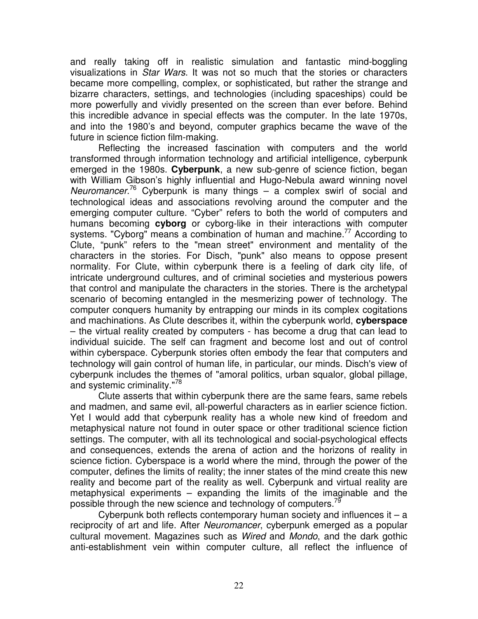and really taking off in realistic simulation and fantastic mind-boggling visualizations in *Star Wars*. It was not so much that the stories or characters became more compelling, complex, or sophisticated, but rather the strange and bizarre characters, settings, and technologies (including spaceships) could be more powerfully and vividly presented on the screen than ever before. Behind this incredible advance in special effects was the computer. In the late 1970s, and into the 1980's and beyond, computer graphics became the wave of the future in science fiction film-making.

Reflecting the increased fascination with computers and the world transformed through information technology and artificial intelligence, cyberpunk emerged in the 1980s. **Cyberpunk**, a new sub-genre of science fiction, began with William Gibson's highly influential and Hugo-Nebula award winning novel *Neuromancer*. <sup>76</sup> Cyberpunk is many things – a complex swirl of social and technological ideas and associations revolving around the computer and the emerging computer culture. "Cyber" refers to both the world of computers and humans becoming **cyborg** or cyborg-like in their interactions with computer systems. "Cyborg" means a combination of human and machine.<sup>77</sup> According to Clute, "punk" refers to the "mean street" environment and mentality of the characters in the stories. For Disch, "punk" also means to oppose present normality. For Clute, within cyberpunk there is a feeling of dark city life, of intricate underground cultures, and of criminal societies and mysterious powers that control and manipulate the characters in the stories. There is the archetypal scenario of becoming entangled in the mesmerizing power of technology. The computer conquers humanity by entrapping our minds in its complex cogitations and machinations. As Clute describes it, within the cyberpunk world, **cyberspace** – the virtual reality created by computers - has become a drug that can lead to individual suicide. The self can fragment and become lost and out of control within cyberspace. Cyberpunk stories often embody the fear that computers and technology will gain control of human life, in particular, our minds. Disch's view of cyberpunk includes the themes of "amoral politics, urban squalor, global pillage, and systemic criminality."<sup>78</sup>

Clute asserts that within cyberpunk there are the same fears, same rebels and madmen, and same evil, all-powerful characters as in earlier science fiction. Yet I would add that cyberpunk reality has a whole new kind of freedom and metaphysical nature not found in outer space or other traditional science fiction settings. The computer, with all its technological and social-psychological effects and consequences, extends the arena of action and the horizons of reality in science fiction. Cyberspace is a world where the mind, through the power of the computer, defines the limits of reality; the inner states of the mind create this new reality and become part of the reality as well. Cyberpunk and virtual reality are metaphysical experiments – expanding the limits of the imaginable and the possible through the new science and technology of computers.<sup>79</sup>

Cyberpunk both reflects contemporary human society and influences it  $-$  a reciprocity of art and life. After *Neuromancer*, cyberpunk emerged as a popular cultural movement. Magazines such as *Wired* and *Mondo*, and the dark gothic anti-establishment vein within computer culture, all reflect the influence of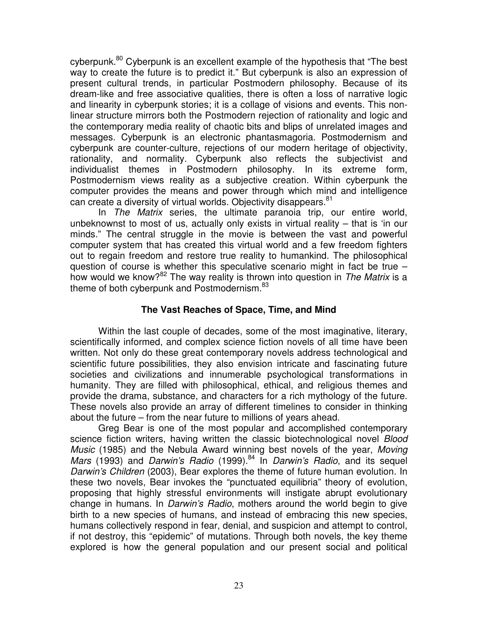cyberpunk.<sup>80</sup> Cyberpunk is an excellent example of the hypothesis that "The best way to create the future is to predict it." But cyberpunk is also an expression of present cultural trends, in particular Postmodern philosophy. Because of its dream-like and free associative qualities, there is often a loss of narrative logic and linearity in cyberpunk stories; it is a collage of visions and events. This nonlinear structure mirrors both the Postmodern rejection of rationality and logic and the contemporary media reality of chaotic bits and blips of unrelated images and messages. Cyberpunk is an electronic phantasmagoria. Postmodernism and cyberpunk are counter-culture, rejections of our modern heritage of objectivity, rationality, and normality. Cyberpunk also reflects the subjectivist and individualist themes in Postmodern philosophy. In its extreme form, Postmodernism views reality as a subjective creation. Within cyberpunk the computer provides the means and power through which mind and intelligence can create a diversity of virtual worlds. Objectivity disappears.<sup>81</sup>

In *The Matrix* series, the ultimate paranoia trip, our entire world, unbeknownst to most of us, actually only exists in virtual reality – that is 'in our minds." The central struggle in the movie is between the vast and powerful computer system that has created this virtual world and a few freedom fighters out to regain freedom and restore true reality to humankind. The philosophical question of course is whether this speculative scenario might in fact be true – how would we know? 82 The way reality is thrown into question in *The Matrix* is a theme of both cyberpunk and Postmodernism.<sup>83</sup>

### **The Vast Reaches of Space, Time, and Mind**

Within the last couple of decades, some of the most imaginative, literary, scientifically informed, and complex science fiction novels of all time have been written. Not only do these great contemporary novels address technological and scientific future possibilities, they also envision intricate and fascinating future societies and civilizations and innumerable psychological transformations in humanity. They are filled with philosophical, ethical, and religious themes and provide the drama, substance, and characters for a rich mythology of the future. These novels also provide an array of different timelines to consider in thinking about the future – from the near future to millions of years ahead.

Greg Bear is one of the most popular and accomplished contemporary science fiction writers, having written the classic biotechnological novel *Blood Music* (1985) and the Nebula Award winning best novels of the year, *Moving Mars* (1993) and *Darwin's Radio* (1999). 84 In *Darwin's Radio*, and its sequel *Darwin's Children* (2003), Bear explores the theme of future human evolution. In these two novels, Bear invokes the "punctuated equilibria" theory of evolution, proposing that highly stressful environments will instigate abrupt evolutionary change in humans. In *Darwin's Radio*, mothers around the world begin to give birth to a new species of humans, and instead of embracing this new species, humans collectively respond in fear, denial, and suspicion and attempt to control, if not destroy, this "epidemic" of mutations. Through both novels, the key theme explored is how the general population and our present social and political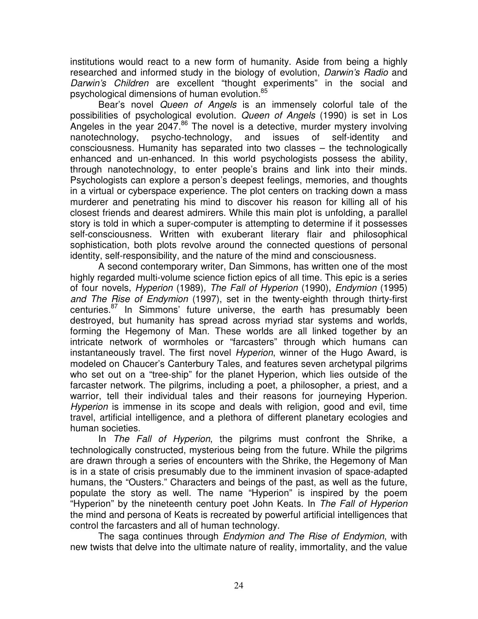institutions would react to a new form of humanity. Aside from being a highly researched and informed study in the biology of evolution, *Darwin's Radio* and *Darwin's Children* are excellent "thought experiments" in the social and psychological dimensions of human evolution. 85

Bear's novel *Queen of Angels* is an immensely colorful tale of the possibilities of psychological evolution. *Queen of Angels* (1990) is set in Los Angeles in the year 2047.<sup>86</sup> The novel is a detective, murder mystery involving nanotechnology, psycho-technology, and issues of self-identity and consciousness. Humanity has separated into two classes – the technologically enhanced and un-enhanced. In this world psychologists possess the ability, through nanotechnology, to enter people's brains and link into their minds. Psychologists can explore a person's deepest feelings, memories, and thoughts in a virtual or cyberspace experience. The plot centers on tracking down a mass murderer and penetrating his mind to discover his reason for killing all of his closest friends and dearest admirers. While this main plot is unfolding, a parallel story is told in which a super-computer is attempting to determine if it possesses self-consciousness. Written with exuberant literary flair and philosophical sophistication, both plots revolve around the connected questions of personal identity, self-responsibility, and the nature of the mind and consciousness.

A second contemporary writer, Dan Simmons, has written one of the most highly regarded multi-volume science fiction epics of all time. This epic is a series of four novels, *Hyperion* (1989)*, The Fall of Hyperion* (1990), *Endymion* (1995) *and The Rise of Endymion* (1997), set in the twenty-eighth through thirty-first centuries.<sup>87</sup> In Simmons' future universe, the earth has presumably been destroyed, but humanity has spread across myriad star systems and worlds, forming the Hegemony of Man. These worlds are all linked together by an intricate network of wormholes or "farcasters" through which humans can instantaneously travel. The first novel *Hyperion*, winner of the Hugo Award, is modeled on Chaucer's Canterbury Tales, and features seven archetypal pilgrims who set out on a "tree-ship" for the planet Hyperion, which lies outside of the farcaster network. The pilgrims, including a poet, a philosopher, a priest, and a warrior, tell their individual tales and their reasons for journeying Hyperion. *Hyperion* is immense in its scope and deals with religion, good and evil, time travel, artificial intelligence, and a plethora of different planetary ecologies and human societies.

In *The Fall of Hyperion*, the pilgrims must confront the Shrike, a technologically constructed, mysterious being from the future. While the pilgrims are drawn through a series of encounters with the Shrike, the Hegemony of Man is in a state of crisis presumably due to the imminent invasion of space-adapted humans, the "Ousters." Characters and beings of the past, as well as the future, populate the story as well. The name "Hyperion" is inspired by the poem "Hyperion" by the nineteenth century poet John Keats. In *The Fall of Hyperion* the mind and persona of Keats is recreated by powerful artificial intelligences that control the farcasters and all of human technology.

The saga continues through *Endymion and The Rise of Endymion*, with new twists that delve into the ultimate nature of reality, immortality, and the value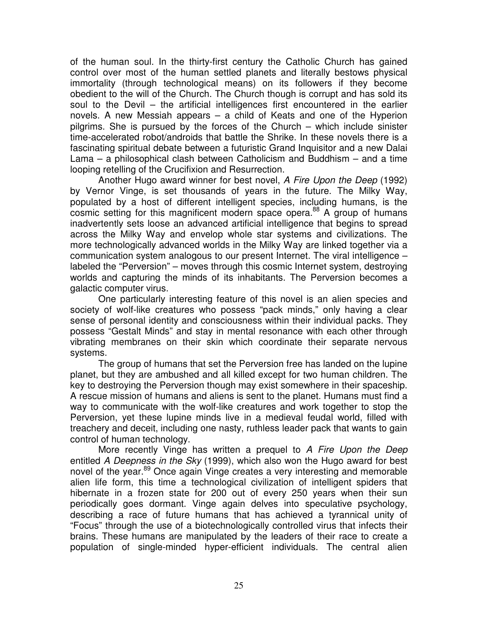of the human soul. In the thirty-first century the Catholic Church has gained control over most of the human settled planets and literally bestows physical immortality (through technological means) on its followers if they become obedient to the will of the Church. The Church though is corrupt and has sold its soul to the Devil – the artificial intelligences first encountered in the earlier novels. A new Messiah appears – a child of Keats and one of the Hyperion pilgrims. She is pursued by the forces of the Church – which include sinister time-accelerated robot/androids that battle the Shrike. In these novels there is a fascinating spiritual debate between a futuristic Grand Inquisitor and a new Dalai Lama – a philosophical clash between Catholicism and Buddhism – and a time looping retelling of the Crucifixion and Resurrection.

Another Hugo award winner for best novel, *A Fire Upon the Deep* (1992) by Vernor Vinge, is set thousands of years in the future. The Milky Way, populated by a host of different intelligent species, including humans, is the cosmic setting for this magnificent modern space opera.<sup>88</sup> A group of humans inadvertently sets loose an advanced artificial intelligence that begins to spread across the Milky Way and envelop whole star systems and civilizations. The more technologically advanced worlds in the Milky Way are linked together via a communication system analogous to our present Internet. The viral intelligence – labeled the "Perversion" – moves through this cosmic Internet system, destroying worlds and capturing the minds of its inhabitants. The Perversion becomes a galactic computer virus.

One particularly interesting feature of this novel is an alien species and society of wolf-like creatures who possess "pack minds," only having a clear sense of personal identity and consciousness within their individual packs. They possess "Gestalt Minds" and stay in mental resonance with each other through vibrating membranes on their skin which coordinate their separate nervous systems.

The group of humans that set the Perversion free has landed on the lupine planet, but they are ambushed and all killed except for two human children. The key to destroying the Perversion though may exist somewhere in their spaceship. A rescue mission of humans and aliens is sent to the planet. Humans must find a way to communicate with the wolf-like creatures and work together to stop the Perversion, yet these lupine minds live in a medieval feudal world, filled with treachery and deceit, including one nasty, ruthless leader pack that wants to gain control of human technology.

More recently Vinge has written a prequel to *A Fire Upon the Deep* entitled *A Deepness in the Sky* (1999), which also won the Hugo award for best novel of the year.<sup>89</sup> Once again Vinge creates a very interesting and memorable alien life form, this time a technological civilization of intelligent spiders that hibernate in a frozen state for 200 out of every 250 years when their sun periodically goes dormant. Vinge again delves into speculative psychology, describing a race of future humans that has achieved a tyrannical unity of "Focus" through the use of a biotechnologically controlled virus that infects their brains. These humans are manipulated by the leaders of their race to create a population of single-minded hyper-efficient individuals. The central alien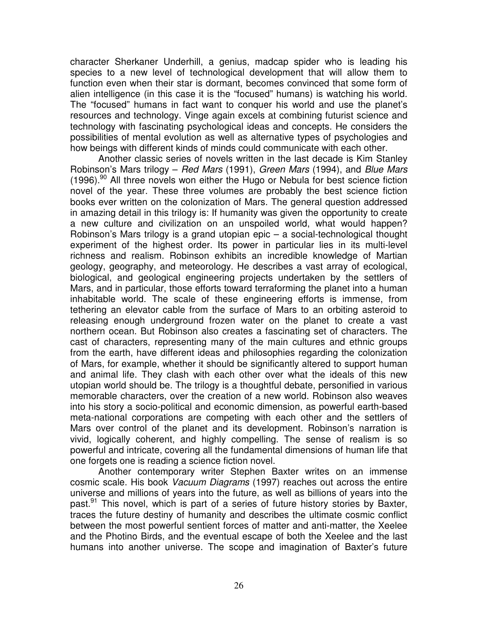character Sherkaner Underhill, a genius, madcap spider who is leading his species to a new level of technological development that will allow them to function even when their star is dormant, becomes convinced that some form of alien intelligence (in this case it is the "focused" humans) is watching his world. The "focused" humans in fact want to conquer his world and use the planet's resources and technology. Vinge again excels at combining futurist science and technology with fascinating psychological ideas and concepts. He considers the possibilities of mental evolution as well as alternative types of psychologies and how beings with different kinds of minds could communicate with each other.

Another classic series of novels written in the last decade is Kim Stanley Robinson's Mars trilogy – *Red Mars* (1991), *Green Mars* (1994), and *Blue Mars* (1996).<sup>90</sup> All three novels won either the Hugo or Nebula for best science fiction novel of the year. These three volumes are probably the best science fiction books ever written on the colonization of Mars. The general question addressed in amazing detail in this trilogy is: If humanity was given the opportunity to create a new culture and civilization on an unspoiled world, what would happen? Robinson's Mars trilogy is a grand utopian epic – a social-technological thought experiment of the highest order. Its power in particular lies in its multi-level richness and realism. Robinson exhibits an incredible knowledge of Martian geology, geography, and meteorology. He describes a vast array of ecological, biological, and geological engineering projects undertaken by the settlers of Mars, and in particular, those efforts toward terraforming the planet into a human inhabitable world. The scale of these engineering efforts is immense, from tethering an elevator cable from the surface of Mars to an orbiting asteroid to releasing enough underground frozen water on the planet to create a vast northern ocean. But Robinson also creates a fascinating set of characters. The cast of characters, representing many of the main cultures and ethnic groups from the earth, have different ideas and philosophies regarding the colonization of Mars, for example, whether it should be significantly altered to support human and animal life. They clash with each other over what the ideals of this new utopian world should be. The trilogy is a thoughtful debate, personified in various memorable characters, over the creation of a new world. Robinson also weaves into his story a socio-political and economic dimension, as powerful earth-based meta-national corporations are competing with each other and the settlers of Mars over control of the planet and its development. Robinson's narration is vivid, logically coherent, and highly compelling. The sense of realism is so powerful and intricate, covering all the fundamental dimensions of human life that one forgets one is reading a science fiction novel.

Another contemporary writer Stephen Baxter writes on an immense cosmic scale. His book *Vacuum Diagrams* (1997) reaches out across the entire universe and millions of years into the future, as well as billions of years into the past.<sup>91</sup> This novel, which is part of a series of future history stories by Baxter, traces the future destiny of humanity and describes the ultimate cosmic conflict between the most powerful sentient forces of matter and anti-matter, the Xeelee and the Photino Birds, and the eventual escape of both the Xeelee and the last humans into another universe. The scope and imagination of Baxter's future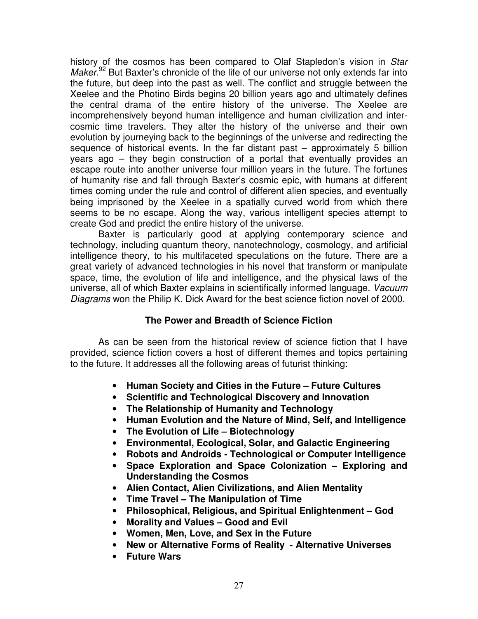history of the cosmos has been compared to Olaf Stapledon's vision in *Star* Maker.<sup>92</sup> But Baxter's chronicle of the life of our universe not only extends far into the future, but deep into the past as well. The conflict and struggle between the Xeelee and the Photino Birds begins 20 billion years ago and ultimately defines the central drama of the entire history of the universe. The Xeelee are incomprehensively beyond human intelligence and human civilization and intercosmic time travelers. They alter the history of the universe and their own evolution by journeying back to the beginnings of the universe and redirecting the sequence of historical events. In the far distant past – approximately 5 billion years ago – they begin construction of a portal that eventually provides an escape route into another universe four million years in the future. The fortunes of humanity rise and fall through Baxter's cosmic epic, with humans at different times coming under the rule and control of different alien species, and eventually being imprisoned by the Xeelee in a spatially curved world from which there seems to be no escape. Along the way, various intelligent species attempt to create God and predict the entire history of the universe.

Baxter is particularly good at applying contemporary science and technology, including quantum theory, nanotechnology, cosmology, and artificial intelligence theory, to his multifaceted speculations on the future. There are a great variety of advanced technologies in his novel that transform or manipulate space, time, the evolution of life and intelligence, and the physical laws of the universe, all of which Baxter explains in scientifically informed language. *Vacuum Diagrams* won the Philip K. Dick Award for the best science fiction novel of 2000.

# **The Power and Breadth of Science Fiction**

As can be seen from the historical review of science fiction that I have provided, science fiction covers a host of different themes and topics pertaining to the future. It addresses all the following areas of futurist thinking:

- **Human Society and Cities in the Future – Future Cultures**
- **Scientific and Technological Discovery and Innovation**
- **The Relationship of Humanity and Technology**
- **Human Evolution and the Nature of Mind, Self, and Intelligence**
- **The Evolution of Life – Biotechnology**
- **Environmental, Ecological, Solar, and Galactic Engineering**
- **Robots and Androids - Technological or Computer Intelligence**
- **Space Exploration and Space Colonization – Exploring and Understanding the Cosmos**
- **Alien Contact, Alien Civilizations, and Alien Mentality**
- **Time Travel – The Manipulation of Time**
- **Philosophical, Religious, and Spiritual Enlightenment – God**
- **Morality and Values – Good and Evil**
- **Women, Men, Love, and Sex in the Future**
- **New or Alternative Forms of Reality - Alternative Universes**
- **Future Wars**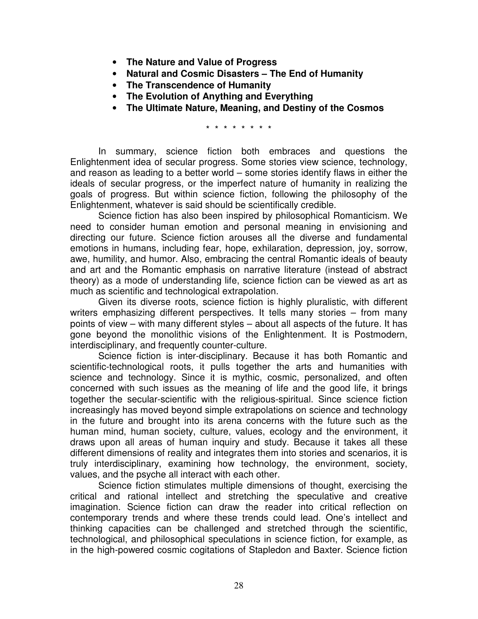- **The Nature and Value of Progress**
- **Natural and Cosmic Disasters – The End of Humanity**
- **The Transcendence of Humanity**
- **The Evolution of Anything and Everything**
- **The Ultimate Nature, Meaning, and Destiny of the Cosmos**

\* \* \* \* \* \* \* \*

In summary, science fiction both embraces and questions the Enlightenment idea of secular progress. Some stories view science, technology, and reason as leading to a better world – some stories identify flaws in either the ideals of secular progress, or the imperfect nature of humanity in realizing the goals of progress. But within science fiction, following the philosophy of the Enlightenment, whatever is said should be scientifically credible.

Science fiction has also been inspired by philosophical Romanticism. We need to consider human emotion and personal meaning in envisioning and directing our future. Science fiction arouses all the diverse and fundamental emotions in humans, including fear, hope, exhilaration, depression, joy, sorrow, awe, humility, and humor. Also, embracing the central Romantic ideals of beauty and art and the Romantic emphasis on narrative literature (instead of abstract theory) as a mode of understanding life, science fiction can be viewed as art as much as scientific and technological extrapolation.

Given its diverse roots, science fiction is highly pluralistic, with different writers emphasizing different perspectives. It tells many stories – from many points of view – with many different styles – about all aspects of the future. It has gone beyond the monolithic visions of the Enlightenment. It is Postmodern, interdisciplinary, and frequently counter-culture.

Science fiction is inter-disciplinary. Because it has both Romantic and scientific-technological roots, it pulls together the arts and humanities with science and technology. Since it is mythic, cosmic, personalized, and often concerned with such issues as the meaning of life and the good life, it brings together the secular-scientific with the religious-spiritual. Since science fiction increasingly has moved beyond simple extrapolations on science and technology in the future and brought into its arena concerns with the future such as the human mind, human society, culture, values, ecology and the environment, it draws upon all areas of human inquiry and study. Because it takes all these different dimensions of reality and integrates them into stories and scenarios, it is truly interdisciplinary, examining how technology, the environment, society, values, and the psyche all interact with each other.

Science fiction stimulates multiple dimensions of thought, exercising the critical and rational intellect and stretching the speculative and creative imagination. Science fiction can draw the reader into critical reflection on contemporary trends and where these trends could lead. One's intellect and thinking capacities can be challenged and stretched through the scientific, technological, and philosophical speculations in science fiction, for example, as in the high-powered cosmic cogitations of Stapledon and Baxter. Science fiction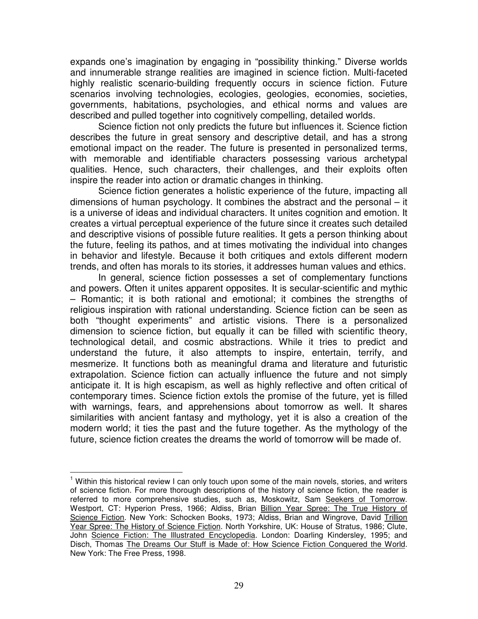expands one's imagination by engaging in "possibility thinking." Diverse worlds and innumerable strange realities are imagined in science fiction. Multi-faceted highly realistic scenario-building frequently occurs in science fiction. Future scenarios involving technologies, ecologies, geologies, economies, societies, governments, habitations, psychologies, and ethical norms and values are described and pulled together into cognitively compelling, detailed worlds.

Science fiction not only predicts the future but influences it. Science fiction describes the future in great sensory and descriptive detail, and has a strong emotional impact on the reader. The future is presented in personalized terms, with memorable and identifiable characters possessing various archetypal qualities. Hence, such characters, their challenges, and their exploits often inspire the reader into action or dramatic changes in thinking.

Science fiction generates a holistic experience of the future, impacting all dimensions of human psychology. It combines the abstract and the personal – it is a universe of ideas and individual characters. It unites cognition and emotion. It creates a virtual perceptual experience of the future since it creates such detailed and descriptive visions of possible future realities. It gets a person thinking about the future, feeling its pathos, and at times motivating the individual into changes in behavior and lifestyle. Because it both critiques and extols different modern trends, and often has morals to its stories, it addresses human values and ethics.

In general, science fiction possesses a set of complementary functions and powers. Often it unites apparent opposites. It is secular-scientific and mythic – Romantic; it is both rational and emotional; it combines the strengths of religious inspiration with rational understanding. Science fiction can be seen as both "thought experiments" and artistic visions. There is a personalized dimension to science fiction, but equally it can be filled with scientific theory, technological detail, and cosmic abstractions. While it tries to predict and understand the future, it also attempts to inspire, entertain, terrify, and mesmerize. It functions both as meaningful drama and literature and futuristic extrapolation. Science fiction can actually influence the future and not simply anticipate it. It is high escapism, as well as highly reflective and often critical of contemporary times. Science fiction extols the promise of the future, yet is filled with warnings, fears, and apprehensions about tomorrow as well. It shares similarities with ancient fantasy and mythology, yet it is also a creation of the modern world; it ties the past and the future together. As the mythology of the future, science fiction creates the dreams the world of tomorrow will be made of.

<sup>&</sup>lt;sup>1</sup> Within this historical review I can only touch upon some of the main novels, stories, and writers of science fiction. For more thorough descriptions of the history of science fiction, the reader is referred to more comprehensive studies, such as, Moskowitz, Sam Seekers of Tomorrow. Westport, CT: Hyperion Press, 1966; Aldiss, Brian Billion Year Spree: The True History of Science Fiction. New York: Schocken Books, 1973; Aldiss, Brian and Wingrove, David Trillion Year Spree: The History of Science Fiction. North Yorkshire, UK: House of Stratus, 1986; Clute, John Science Fiction: The Illustrated Encyclopedia. London: Doarling Kindersley, 1995; and Disch, Thomas The Dreams Our Stuff is Made of: How Science Fiction Conquered the World. New York: The Free Press, 1998.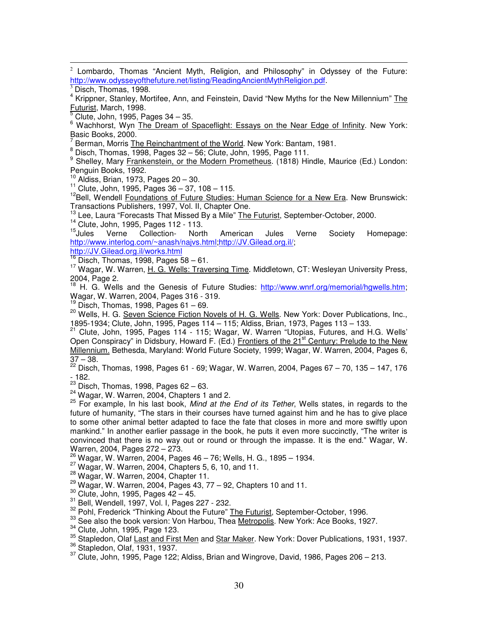2 Lombardo, Thomas "Ancient Myth, Religion, and Philosophy" in Odyssey of the Future: http://www.odysseyofthefuture.net/listing/ReadingAncientMythReligion.pdf.

<sup>4</sup> Krippner, Stanley, Mortifee, Ann, and Feinstein, David "New Myths for the New Millennium" The Futurist, March, 1998.

<sup>5</sup> Clute, John, 1995, Pages 34 – 35.

<sup>6</sup> Wachhorst, Wyn The Dream of Spaceflight: Essays on the Near Edge of Infinity. New York: Basic Books, 2000.

7 Berman, Morris The Reinchantment of the World. New York: Bantam, 1981.

8 Berman, mente **3 Representative and September 2018** Disch, Thomas, 1998, Page 111.

9 Shelley, Mary Frankenstein, or the Modern Prometheus. (1818) Hindle, Maurice (Ed.) London: Penguin Books, 1992.

10 Aldiss, Brian, 1973, Pages 20 – 30.

<sup>11</sup> Clute, John, 1995, Pages 36 – 37, 108 – 115.

<sup>12</sup>Bell, Wendell **Foundations of Future Studies: Human Science for a New Era. New Brunswick:** Transactions Publishers, 1997, Vol. II, Chapter One.

13 Lee, Laura "Forecasts That Missed By a Mile" The Futurist, September-October, 2000.

 $14$  Clute, John, 1995, Pages 112 - 113.<br> $15$ Jules Verne Collection North

 $15$ Jules Jules Verne Collection- North American Jules Verne Society Homepage: http://www.interlog.com/~anash/najvs.html;http://JV.Gilead.org.il/;

http://JV.Gilead.org.il/works.html

 $16$  Disch, Thomas, 1998, Pages 58 – 61.

<sup>17</sup> Wagar, W. Warren, H. G. Wells: Traversing Time. Middletown, CT: Wesleyan University Press, 2004, Page 2.

<sup>18</sup> H. G. Wells and the Genesis of Future Studies: http://www.wnrf.org/memorial/hgwells.htm; Wagar, W. Warren, 2004, Pages 316 - 319.

 $19$  Disch, Thomas, 1998, Pages 61 – 69.

<sup>20</sup> Wells, H. G. Seven Science Fiction Novels of H. G. Wells. New York: Dover Publications, Inc., 1895-1934; Clute, John, 1995, Pages 114 – 115; Aldiss, Brian, 1973, Pages 113 – 133.

<sup>21</sup> Clute, John, 1995, Pages 114 - 115; Wagar, W. Warren "Utopias, Futures, and H.G. Wells' Open Conspiracy" in Didsbury, Howard F. (Ed.) Frontiers of the 21<sup>st</sup> Century: Prelude to the New Millennium. Bethesda, Maryland: World Future Society, 1999; Wagar, W. Warren, 2004, Pages 6,  $37 - 38.$ 

<sup>22</sup> Disch, Thomas, 1998, Pages 61 - 69; Wagar, W. Warren, 2004, Pages 67 – 70, 135 – 147, 176 - 182.

 $23$  Disch, Thomas, 1998, Pages 62 – 63.

<sup>24</sup> Wagar, W. Warren, 2004, Chapters 1 and 2.

25 For example, In his last book, *Mind at the End of its Tether*, Wells states, in regards to the future of humanity, "The stars in their courses have turned against him and he has to give place to some other animal better adapted to face the fate that closes in more and more swiftly upon mankind." In another earlier passage in the book, he puts it even more succinctly, "The writer is convinced that there is no way out or round or through the impasse. It is the end." Wagar, W. Warren, 2004, Pages 272 – 273.

 $^{26}_{12}$  Wagar, W. Warren, 2004, Pages 46 – 76; Wells, H. G., 1895 – 1934.

 $^{27}$  Wagar, W. Warren, 2004, Chapters 5, 6, 10, and 11.

<sup>28</sup> Wagar, W. Warren, 2004, Chapter 11.

 $29$  Wagar, W. Warren, 2004, Pages 43, 77 – 92, Chapters 10 and 11.

 $30$  Clute, John, 1995, Pages  $42 - 45$ .

31 Bell, Wendell, 1997, Vol. I, Pages 227 - 232.

 $\frac{32}{1}$  Pohl, Frederick "Thinking About the Future" The Futurist, September-October, 1996.

<sup>33</sup> See also the book version: Von Harbou, Thea Metropolis. New York: Ace Books, 1927.

<sup>34</sup> Clute, John, 1995, Page 123.

<sup>35</sup> Stapledon, Olaf Last and First Men and Star Maker. New York: Dover Publications, 1931, 1937.

36 Stapledon, Olaf, 1931, 1937.

 $37$  Clute, John, 1995, Page 122; Aldiss, Brian and Wingrove, David, 1986, Pages 206 – 213.

Disch, Thomas, 1998.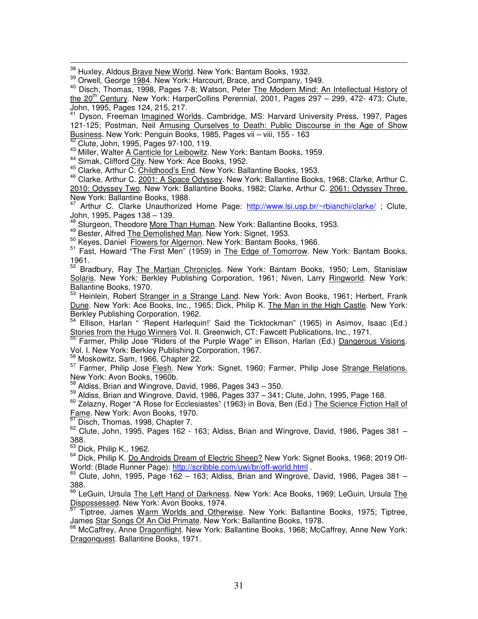38 Huxley, Aldous Brave New World. New York: Bantam Books, 1932.

<sup>39</sup> Orwell, George 1984. New York: Harcourt, Brace, and Company, 1949.

<sup>40</sup> Disch, Thomas, 1998, Pages 7-8; Watson, Peter The Modern Mind: An Intellectual History of the 20<sup>th</sup> Century. New York: HarperCollins Perennial, 2001, Pages 297 - 299, 472- 473; Clute, John, 1995, Pages 124, 215, 217.

<sup>41</sup> Dyson, Freeman Imagined Worlds. Cambridge, MS: Harvard University Press, 1997, Pages 121-125; Postman, Neil Amusing Ourselves to Death: Public Discourse in the Age of Show Business. New York: Penguin Books, 1985, Pages vii – viii, 155 - 163

 $^{2}$  Clute, John, 1995, Pages 97-100, 119.

<sup>43</sup> Miller, Walter A Canticle for Leibowitz. New York: Bantam Books, 1959.

<sup>44</sup> Simak, Clifford City. New York: Ace Books, 1952.

<sup>45</sup> Clarke, Arthur C. Childhood's End. New York: Ballantine Books, 1953.

<sup>46</sup> Clarke, Arthur C. 2001: A Space Odyssey. New York: Ballantine Books, 1968; Clarke, Arthur C. 2010: Odyssey Two. New York: Ballantine Books, 1982; Clarke, Arthur C. 2061: Odyssey Three. New York: Ballantine Books, 1988.

<sup>47</sup> Arthur C. Clarke Unauthorized Home Page: http://www.lsi.usp.br/~rbianchi/clarke/; Clute, John, 1995, Pages 138 – 139.

<sup>48</sup> Sturgeon, Theodore More Than Human. New York: Ballantine Books, 1953.

<sup>49</sup> Bester, Alfred The Demolished Man. New York: Signet, 1953.

 $\frac{50}{10}$  Keyes, Daniel Flowers for Algernon. New York: Bantam Books, 1966.

<sup>51</sup> Fast, Howard "The First Men" (1959) in The Edge of Tomorrow. New York: Bantam Books,

1961.<br><sup>52</sup> Bradbury, Ray <u>The Martian Chronicles</u>. New York: Bantam Books, 1950; Lem, Stanislaw Solaris. New York: Berkley Publishing Corporation, 1961; Niven, Larry Ringworld. New York: Ballantine Books, 1970.

Heinlein, Robert Stranger in a Strange Land. New York: Avon Books, 1961; Herbert, Frank Dune. New York: Ace Books, Inc., 1965; Dick, Philip K. The Man in the High Castle. New York: Berkley Publishing Corporation, 1962.

54 Ellison, Harlan " 'Repent Harlequin!' Said the Ticktockman" (1965) in Asimov, Isaac (Ed.) Stories from the Hugo Winners Vol. II. Greenwich, CT: Fawcett Publications, Inc., 1971.

55 Farmer, Philip Jose "Riders of the Purple Wage" in Ellison, Harlan (Ed.) Dangerous Visions. Vol. I. New York: Berkley Publishing Corporation, 1967.

<sup>56</sup> Moskowitz, Sam, 1966, Chapter 22.

<sup>57</sup> Farmer, Philip Jose *Flesh*. New York: Signet, 1960; Farmer, Philip Jose Strange Relations. New York: Avon Books, 1960b.

 $^{58}$  Aldiss, Brian and Wingrove, David, 1986, Pages 343 – 350.

59 Aldiss, Brian and Wingrove, David, 1986, Pages 337 – 341; Clute, John, 1995, Page 168.

<sup>60</sup> Zelazny, Roger "A Rose for Ecclesiastes" (1963) in Bova, Ben (Ed.) The Science Fiction Hall of Fame. New York: Avon Books, 1970.

 $\frac{61}{61}$  Disch, Thomas, 1998, Chapter 7.

 $62$  Clute, John, 1995, Pages 162 - 163; Aldiss, Brian and Wingrove, David, 1986, Pages 381 -388.

 $63$  Dick, Philip K., 1962.

64 Dick, Philip K. Do Androids Dream of Electric Sheep? New York: Signet Books, 1968; 2019 Off-World: (Blade Runner Page): http://scribble.com/uwi/br/off-world.html .

 $65$  Clute, John, 1995, Page 162 – 163; Aldiss, Brian and Wingrove, David, 1986, Pages 381 – 388.

<sup>66</sup> LeGuin, Ursula The Left Hand of Darkness. New York: Ace Books, 1969; LeGuin, Ursula The Dispossessed. New York: Avon Books, 1974. 67

Tiptree, James Warm Worlds and Otherwise. New York: Ballantine Books, 1975; Tiptree, James Star Songs Of An Old Primate. New York: Ballantine Books, 1978.

<sup>68</sup> McCaffrey, Anne Dragonflight. New York: Ballantine Books, 1968; McCaffrey, Anne New York: Dragonquest. Ballantine Books, 1971.